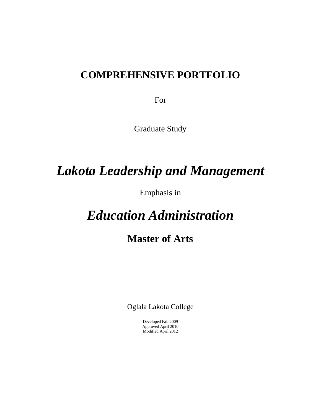## **COMPREHENSIVE PORTFOLIO**

For

Graduate Study

# *Lakota Leadership and Management*

Emphasis in

# *Education Administration*

## **Master of Arts**

Oglala Lakota College

Developed Fall 2009 Approved April 2010 Modified April 2012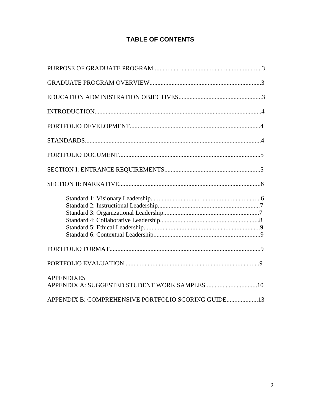## **TABLE OF CONTENTS**

| <b>APPENDIXES</b>                                   |
|-----------------------------------------------------|
| APPENDIX B: COMPREHENSIVE PORTFOLIO SCORING GUIDE13 |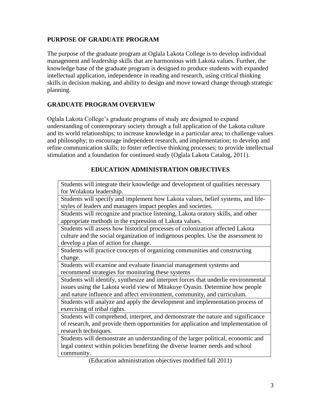#### **PURPOSE OF GRADUATE PROGRAM**

The purpose of the graduate program at Oglala Lakota College is to develop individual management and leadership skills that are harmonious with Lakota values. Further, the knowledge base of the graduate program is designed to produce students with expanded intellectual application, independence in reading and research, using critical thinking skills in decision making, and ability to design and move toward change through strategic planning.

#### **GRADUATE PROGRAM OVERVIEW**

Oglala Lakota College's graduate programs of study are designed to expand understanding of contemporary society through a full application of the Lakota culture and its world relationships; to increase knowledge in a particular area; to challenge values and philosophy; to encourage independent research, and implementation; to develop and refine communication skills; to foster reflective thinking processes; to provide intellectual stimulation and a foundation for continued study (Oglala Lakota Catalog, 2011).

#### **EDUCATION ADMINISTRATION OBJECTIVES**

| Students will integrate their knowledge and development of qualities necessary      |
|-------------------------------------------------------------------------------------|
| for Wolakota leadership.                                                            |
| Students will specify and implement how Lakota values, belief systems, and life-    |
| styles of leaders and managers impact peoples and societies.                        |
| Students will recognize and practice listening, Lakota oratory skills, and other    |
| appropriate methods in the expression of Lakota values.                             |
| Students will assess how historical processes of colonization affected Lakota       |
| culture and the social organization of indigenous peoples. Use the assessment to    |
| develop a plan of action for change.                                                |
| Students will practice concepts of organizing communities and constructing          |
| change.                                                                             |
| Students will examine and evaluate financial management systems and                 |
| recommend strategies for monitoring these systems                                   |
| Students will identify, synthesize and interpret forces that underlie environmental |
| issues using the Lakota world view of Mitakuye Oyasin. Determine how people         |
| and nature influence and affect environment, community, and curriculum.             |
| Students will analyze and apply the development and implementation process of       |
| exercising of tribal rights.                                                        |
| Students will comprehend, interpret, and demonstrate the nature and significance    |
| of research, and provide them opportunities for application and implementation of   |
| research techniques.                                                                |
| Students will demonstrate an understanding of the larger political, economic and    |
| legal context within policies benefiting the diverse learner needs and school       |
| community.                                                                          |
| (Education administration objectives modified fall 2011)                            |
|                                                                                     |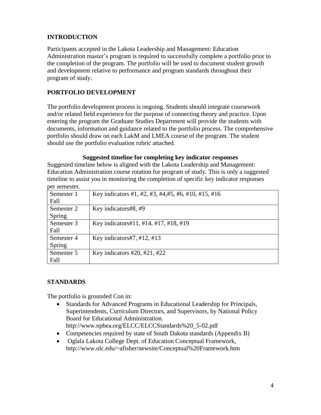## **INTRODUCTION**

Participants accepted in the Lakota Leadership and Management: Education Administration master's program is required to successfully complete a portfolio prior to the completion of the program. The portfolio will be used to document student growth and development relative to performance and program standards throughout their program of study.

#### **PORTFOLIO DEVELOPMENT**

The portfolio development process is ongoing. Students should integrate coursework and/or related field experience for the purpose of connecting theory and practice. Upon entering the program the Graduate Studies Department will provide the students with documents, information and guidance related to the portfolio process. The comprehensive portfolio should draw on each LakM and LMEA course of the program. The student should use the portfolio evaluation rubric attached.

#### **Suggested timeline for completing key indicator responses**

Suggested timeline below is aligned with the Lakota Leadership and Management: Education Administration course rotation for program of study. This is only a suggested timeline to assist you in monitoring the completion of specific key indicator responses per semester.

| DUI DUIILUDLUI. |                                                      |
|-----------------|------------------------------------------------------|
| Semester 1      | Key indicators #1, #2, #3, #4, #5, #6, #10, #15, #16 |
| Fall            |                                                      |
| Semester 2      | Key indicators#8, #9                                 |
| Spring          |                                                      |
| Semester 3      | Key indicators#11, #14, #17, #18, #19                |
| Fall            |                                                      |
| Semester 4      | Key indicators#7, #12, #13                           |
| Spring          |                                                      |
| Semester 5      | Key indicators $\#20$ , $\#21$ , $\#22$              |
| Fall            |                                                      |

#### **STANDARDS**

The portfolio is grounded Con in:

- Standards for Advanced Programs in Educational Leadership for Principals, Superintendents, Curriculum Directors, and Supervisors, by National Policy Board for Educational Administration. [http://www.npbea.org/ELCC/ELCCStandards%20\\_5-02.pdf](http://www.npbea.org/ELCC/ELCCStandards%20_5-02.pdf)
- Competencies required by state of South Dakota standards (Appendix B)
- Oglala Lakota College Dept. of Education Conceptual Framework, <http://www.olc.edu/~afisher/newsite/Conceptual%20Framework.htm>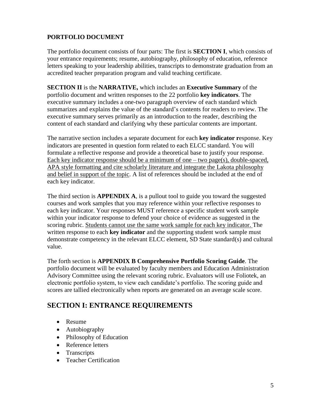## **PORTFOLIO DOCUMENT**

The portfolio document consists of four parts: The first is **SECTION I**, which consists of your entrance requirements; resume, autobiography, philosophy of education, reference letters speaking to your leadership abilities, transcripts to demonstrate graduation from an accredited teacher preparation program and valid teaching certificate.

**SECTION II** is the **NARRATIVE,** which includes an **Executive Summary** of the portfolio document and written responses to the 22 portfolio **key indicators**. The executive summary includes a one-two paragraph overview of each standard which summarizes and explains the value of the standard's contents for readers to review. The executive summary serves primarily as an introduction to the reader, describing the content of each standard and clarifying why these particular contents are important.

The narrative section includes a separate document for each **key indicator r**esponse. Key indicators are presented in question form related to each ELCC standard. You will formulate a reflective response and provide a theoretical base to justify your response. Each key indicator response should be a minimum of one – two page(s), double-spaced, APA style formatting and cite scholarly literature and integrate the Lakota philosophy and belief in support of the topic. A list of references should be included at the end of each key indicator.

The third section is **APPENDIX A**, is a pullout tool to guide you toward the suggested courses and work samples that you may reference within your reflective responses to each key indicator. Your responses MUST reference a specific student work sample within your indicator response to defend your choice of evidence as suggested in the scoring rubric. Students cannot use the same work sample for each key indicator. The written response to each **key indicator** and the supporting student work sample must demonstrate competency in the relevant ELCC element, SD State standard(s) and cultural value.

The forth section is **APPENDIX B Comprehensive Portfolio Scoring Guide**. The portfolio document will be evaluated by faculty members and Education Administration Advisory Committee using the relevant scoring rubric. Evaluators will use Foliotek, an electronic portfolio system, to view each candidate's portfolio. The scoring guide and scores are tallied electronically when reports are generated on an average scale score.

## **SECTION I: ENTRANCE REQUIREMENTS**

- Resume
- Autobiography
- Philosophy of Education
- Reference letters
- Transcripts
- Teacher Certification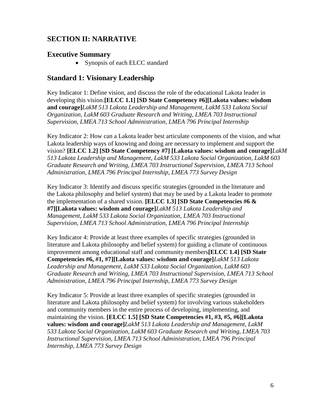## **SECTION II: NARRATIVE**

#### **Executive Summary**

• Synopsis of each ELCC standard

#### **Standard 1: Visionary Leadership**

Key Indicator 1: Define vision, and discuss the role of the educational Lakota leader in developing this vision.**[ELCC 1.1] [SD State Competency #6][Lakota values: wisdom and courage]***LakM 513 Lakota Leadership and Management, LakM 533 Lakota Social Organization, LakM 603 Graduate Research and Writing, LMEA 703 Instructional Supervision, LMEA 713 School Administration, LMEA 796 Principal Internship*

Key Indicator 2: How can a Lakota leader best articulate components of the vision, and what Lakota leadership ways of knowing and doing are necessary to implement and support the vision? **[ELCC 1.2] [SD State Competency #7] [Lakota values: wisdom and courage]***LakM 513 Lakota Leadership and Management, LakM 533 Lakota Social Organization, LakM 603 Graduate Research and Writing, LMEA 703 Instructional Supervision, LMEA 713 School Administration, LMEA 796 Principal Internship, LMEA 773 Survey Design*

Key Indicator 3: Identify and discuss specific strategies (grounded in the literature and the Lakota philosophy and belief system) that may be used by a Lakota leader to promote the implementation of a shared vision. **[ELCC 1.3] [SD State Competencies #6 & #7][Lakota values: wisdom and courage]***LakM 513 Lakota Leadership and Management, LakM 533 Lakota Social Organization, LMEA 703 Instructional Supervision, LMEA 713 School Administration, LMEA 796 Principal Internship*

Key Indicator 4: Provide at least three examples of specific strategies (grounded in literature and Lakota philosophy and belief system) for guiding a climate of continuous improvement among educational staff and community members**[ELCC 1.4] [SD State Competencies #6, #1, #7][Lakota values: wisdom and courage]***LakM 513 Lakota Leadership and Management, LakM 533 Lakota Social Organization, LakM 603 Graduate Research and Writing, LMEA 703 Instructional Supervision, LMEA 713 School Administration, LMEA 796 Principal Internship, LMEA 773 Survey Design*

Key Indicator 5: Provide at least three examples of specific strategies (grounded in literature and Lakota philosophy and belief system) for involving various stakeholders and community members in the entire process of developing, implementing, and maintaining the vision. **[ELCC 1.5] [SD State Competencies #1, #3, #5, #6][Lakota values: wisdom and courage]***LakM 513 Lakota Leadership and Management, LakM 533 Lakota Social Organization, LakM 603 Graduate Research and Writing, LMEA 703 Instructional Supervision, LMEA 713 School Administration, LMEA 796 Principal Internship, LMEA 773 Survey Design*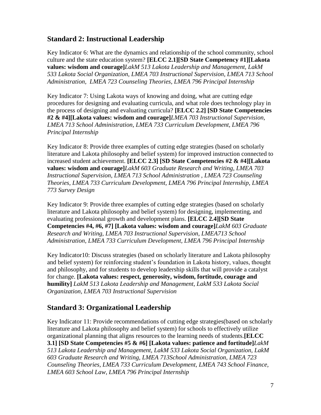## **Standard 2: Instructional Leadership**

Key Indicator 6: What are the dynamics and relationship of the school community, school culture and the state education system? **[ELCC 2.1][SD State Competency #1][Lakota values: wisdom and courage]***LakM 513 Lakota Leadership and Management, LakM 533 Lakota Social Organization, LMEA 703 Instructional Supervision, LMEA 713 School Administration, LMEA 723 Counseling Theories, LMEA 796 Principal Internship*

Key Indicator 7: Using Lakota ways of knowing and doing, what are cutting edge procedures for designing and evaluating curricula, and what role does technology play in the process of designing and evaluating curricula? **[ELCC 2.2] [SD State Competencies #2 & #4][Lakota values: wisdom and courage]***LMEA 703 Instructional Supervision, LMEA 713 School Administration, LMEA 733 Curriculum Development, LMEA 796 Principal Internship*

Key Indicator 8: Provide three examples of cutting edge strategies (based on scholarly literature and Lakota philosophy and belief system) for improved instruction connected to increased student achievement. **[ELCC 2.3] [SD State Competencies #2 & #4][Lakota values: wisdom and courage]***LakM 603 Graduate Research and Writing*, *LMEA 703 Instructional Supervision, LMEA 713 School Administration , LMEA 723 Counseling Theories, LMEA 733 Curriculum Development, LMEA 796 Principal Internship, LMEA 773 Survey Design*

Key Indicator 9: Provide three examples of cutting edge strategies (based on scholarly literature and Lakota philosophy and belief system) for designing, implementing, and evaluating professional growth and development plans. **[ELCC 2.4][SD State Competencies #4, #6, #7] [Lakota values: wisdom and courage]***LakM 603 Graduate Research and Writing, LMEA 703 Instructional Supervision, LMEA713 School Administration, LMEA 733 Curriculum Development, LMEA 796 Principal Internship*

Key Indicator10: Discuss strategies (based on scholarly literature and Lakota philosophy and belief system) for reinforcing student's foundation in Lakota history, values, thought and philosophy, and for students to develop leadership skills that will provide a catalyst for change. **[Lakota values: respect, generosity, wisdom, fortitude, courage and humility]** *LakM 513 Lakota Leadership and Management, LakM 533 Lakota Social Organization, LMEA 703 Instructional Supervision*

## **Standard 3: Organizational Leadership**

Key Indicator 11: Provide recommendations of cutting edge strategies(based on scholarly literature and Lakota philosophy and belief system) for schools to effectively utilize organizational planning that aligns resources to the learning needs of students.**[ELCC 3.1] [SD State Competencies #5 & #6] [Lakota values: patience and fortitude]***LakM 513 Lakota Leadership and Management, LakM 533 Lakota Social Organization, LakM 603 Graduate Research and Writing, LMEA 713School Administration, LMEA 723 Counseling Theories, LMEA 733 Curriculum Development, LMEA 743 School Finance, LMEA 603 School Law, LMEA 796 Principal Internship*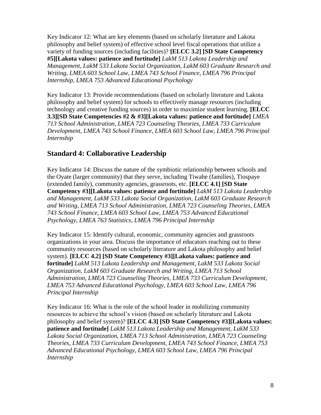Key Indicator 12: What are key elements (based on scholarly literature and Lakota philosophy and belief system) of effective school level fiscal operations that utilize a variety of funding sources (including facilities)? **[ELCC 3.2] [SD State Competency #5][Lakota values: patience and fortitude]** *LakM 513 Lakota Leadership and Management, LakM 533 Lakota Social Organization, LakM 603 Graduate Research and Writing, LMEA 603 School Law*, *LMEA 743 School Finance, LMEA 796 Principal Internship, LMEA 753 Advanced Educational Psychology*

Key Indicator 13: Provide recommendations (based on scholarly literature and Lakota philosophy and belief system) for schools to effectively manage resources (including technology and creative funding sources) in order to maximize student learning. **[ELCC 3.3][SD State Competencies #2 & #3][Lakota values: patience and fortitude]** *LMEA 713 School Administration, LMEA 723 Counseling Theories, LMEA 733 Curriculum Development*, *LMEA 743 School Finance, LMEA 603 School Law, LMEA 796 Principal Internship*

## **Standard 4: Collaborative Leadership**

Key Indicator 14: Discuss the nature of the symbiotic relationship between schools and the Oyate (larger community) that they serve, including Tiwahe (families), Tiospaye (extended family), community agencies, grassroots, etc. **[ELCC 4.1] [SD State Competency #3][Lakota values: patience and fortitude]** *LakM 513 Lakota Leadership and Management, LakM 533 Lakota Social Organization, LakM 603 Graduate Research and Writing, LMEA 713 School Administration, LMEA 723 Counseling Theories, LMEA 743 School Finance, LMEA 603 School Law, LMEA 753 Advanced Educational Psychology, LMEA 763 Statistics, LMEA 796 Principal Internship*

Key Indicator 15: Identify cultural, economic, community agencies and grassroots organizations in your area. Discuss the importance of educators reaching out to these community resources (based on scholarly literature and Lakota philosophy and belief system). **[ELCC 4.2] [SD State Competency #3][Lakota values: patience and fortitude]** *LakM 513 Lakota Leadership and Management, LakM 533 Lakota Social Organization, LakM 603 Graduate Research and Writing, LMEA 713 School Administration, LMEA 723 Counseling Theories, LMEA 733 Curriculum Development, LMEA 753 Advanced Educational Psychology, LMEA 603 School Law, LMEA 796 Principal Internship*

Key Indicator 16: What is the role of the school leader in mobilizing community resources to achieve the school's vision (based on scholarly literature and Lakota philosophy and belief system)? **[ELCC 4.3] [SD State Competency #3][Lakota values: patience and fortitude]** *LakM 513 Lakota Leadership and Management, LakM 533 Lakota Social Organization, LMEA 713 School Administration, LMEA 723 Counseling Theories, LMEA 733 Curriculum Development, LMEA 743 School Finance, LMEA 753 Advanced Educational Psychology, LMEA 603 School Law, LMEA 796 Principal Internship*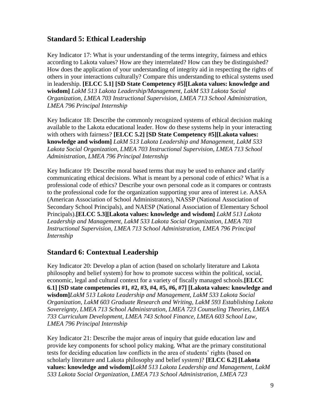## **Standard 5: Ethical Leadership**

Key Indicator 17: What is your understanding of the terms integrity, fairness and ethics according to Lakota values? How are they interrelated? How can they be distinguished? How does the application of your understanding of integrity aid in respecting the rights of others in your interactions culturally? Compare this understanding to ethical systems used in leadership. **[ELCC 5.1] [SD State Competency #5][Lakota values: knowledge and wisdom]** *LakM 513 Lakota Leadership/Management, LakM 533 Lakota Social Organization, LMEA 703 Instructional Supervision, LMEA 713 School Administration, LMEA 796 Principal Internship*

Key Indicator 18: Describe the commonly recognized systems of ethical decision making available to the Lakota educational leader. How do these systems help in your interacting with others with fairness? **[ELCC 5.2] [SD State Competency #5][Lakota values: knowledge and wisdom]** *LakM 513 Lakota Leadership and Management, LakM 533 Lakota Social Organization, LMEA 703 Instructional Supervision, LMEA 713 School Administration, LMEA 796 Principal Internship*

Key Indicator 19: Describe moral based terms that may be used to enhance and clarify communicating ethical decisions. What is meant by a personal code of ethics? What is a professional code of ethics? Describe your own personal code as it compares or contrasts to the professional code for the organization supporting your area of interest i.e. AASA (American Association of School Administrators), NASSP (National Association of Secondary School Principals), and NAESP (National Association of Elementary School Principals).**[ELCC 5.3][Lakota values: knowledge and wisdom]** *LakM 513 Lakota Leadership and Management, LakM 533 Lakota Social Organization, LMEA 703 Instructional Supervision, LMEA 713 School Administration, LMEA 796 Principal Internship*

## **Standard 6: Contextual Leadership**

Key Indicator 20: Develop a plan of action (based on scholarly literature and Lakota philosophy and belief system) for how to promote success within the political, social, economic, legal and cultural context for a variety of fiscally managed schools.**[ELCC 6.1] [SD state competencies #1, #2, #3, #4, #5, #6, #7] [Lakota values: knowledge and wisdom]***LakM 513 Lakota Leadership and Management, LakM 533 Lakota Social Organization, LakM 603 Graduate Research and Writing, LakM 593 Establishing Lakota Sovereignty, LMEA 713 School Administration, LMEA 723 Counseling Theories, LMEA 733 Curriculum Development, LMEA 743 School Finance, LMEA 603 School Law, LMEA 796 Principal Internship*

Key Indicator 21: Describe the major areas of inquiry that guide education law and provide key components for school policy making. What are the primary constitutional tests for deciding education law conflicts in the area of students' rights (based on scholarly literature and Lakota philosophy and belief system)? **[ELCC 6.2] [Lakota values: knowledge and wisdom]***LakM 513 Lakota Leadership and Management, LakM 533 Lakota Social Organization, LMEA 713 School Administration, LMEA 723*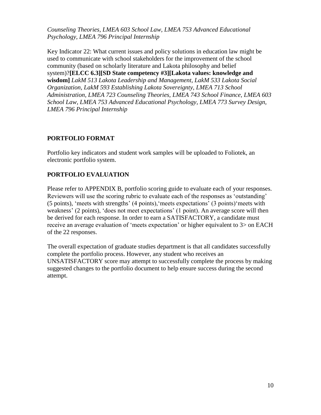*Counseling Theories, LMEA 603 School Law, LMEA 753 Advanced Educational Psychology, LMEA 796 Principal Internship*

Key Indicator 22: What current issues and policy solutions in education law might be used to communicate with school stakeholders for the improvement of the school community (based on scholarly literature and Lakota philosophy and belief system)?**[ELCC 6.3][SD State competency #3][Lakota values: knowledge and wisdom]** *LakM 513 Lakota Leadership and Management, LakM 533 Lakota Social Organization, LakM 593 Establishing Lakota Sovereignty, LMEA 713 School Administration, LMEA 723 Counseling Theories, LMEA 743 School Finance, LMEA 603 School Law, LMEA 753 Advanced Educational Psychology, LMEA 773 Survey Design, LMEA 796 Principal Internship*

#### **PORTFOLIO FORMAT**

Portfolio key indicators and student work samples will be uploaded to Foliotek, an electronic portfolio system.

#### **PORTFOLIO EVALUATION**

Please refer to APPENDIX B, portfolio scoring guide to evaluate each of your responses. Reviewers will use the scoring rubric to evaluate each of the responses as 'outstanding' (5 points), 'meets with strengths' (4 points),'meets expectations' (3 points)'meets with weakness' (2 points), 'does not meet expectations' (1 point). An average score will then be derived for each response. In order to earn a SATISFACTORY, a candidate must receive an average evaluation of 'meets expectation' or higher equivalent to 3> on EACH of the 22 responses.

The overall expectation of graduate studies department is that all candidates successfully complete the portfolio process. However, any student who receives an UNSATISFACTORY score may attempt to successfully complete the process by making suggested changes to the portfolio document to help ensure success during the second attempt.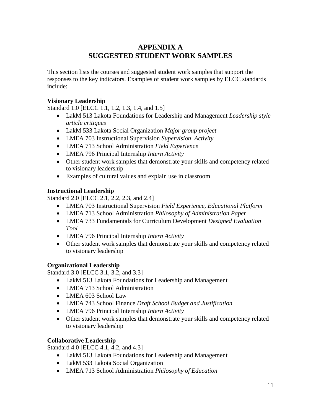## **APPENDIX A SUGGESTED STUDENT WORK SAMPLES**

This section lists the courses and suggested student work samples that support the responses to the key indicators. Examples of student work samples by ELCC standards include:

#### **Visionary Leadership**

Standard 1.0 [ELCC 1.1, 1.2, 1.3, 1.4, and 1.5]

- LakM 513 Lakota Foundations for Leadership and Management *Leadership style article critiques*
- LakM 533 Lakota Social Organization *Major group project*
- LMEA 703 Instructional Supervision *Supervision Activity*
- LMEA 713 School Administration *Field Experience*
- LMEA 796 Principal Internship *Intern Activity*
- Other student work samples that demonstrate your skills and competency related to visionary leadership
- Examples of cultural values and explain use in classroom

#### **Instructional Leadership**

Standard 2.0 [ELCC 2.1, 2.2, 2.3, and 2.4]

- LMEA 703 Instructional Supervision *Field Experience, Educational Platform*
- LMEA 713 School Administration *Philosophy of Administration Paper*
- LMEA 733 Fundamentals for Curriculum Development *Designed Evaluation Tool*
- LMEA 796 Principal Internship *Intern Activity*
- Other student work samples that demonstrate your skills and competency related to visionary leadership

#### **Organizational Leadership**

Standard 3.0 [ELCC 3.1, 3.2, and 3.3]

- LakM 513 Lakota Foundations for Leadership and Management
- LMEA 713 School Administration
- LMEA 603 School Law
- LMEA 743 School Finance *Draft School Budget and Justification*
- LMEA 796 Principal Internship *Intern Activity*
- Other student work samples that demonstrate your skills and competency related to visionary leadership

#### **Collaborative Leadership**

Standard 4.0 [ELCC 4.1, 4.2, and 4.3]

- LakM 513 Lakota Foundations for Leadership and Management
- LakM 533 Lakota Social Organization
- LMEA 713 School Administration *Philosophy of Education*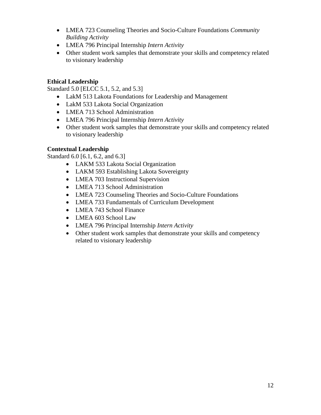- LMEA 723 Counseling Theories and Socio-Culture Foundations *Community Building Activity*
- LMEA 796 Principal Internship *Intern Activity*
- Other student work samples that demonstrate your skills and competency related to visionary leadership

#### **Ethical Leadership**

Standard 5.0 [ELCC 5.1, 5.2, and 5.3]

- LakM 513 Lakota Foundations for Leadership and Management
- LakM 533 Lakota Social Organization
- LMEA 713 School Administration
- LMEA 796 Principal Internship *Intern Activity*
- Other student work samples that demonstrate your skills and competency related to visionary leadership

#### **Contextual Leadership**

Standard 6.0 [6.1, 6.2, and 6.3]

- LAKM 533 Lakota Social Organization
- LAKM 593 Establishing Lakota Sovereignty
- LMEA 703 Instructional Supervision
- LMEA 713 School Administration
- LMEA 723 Counseling Theories and Socio-Culture Foundations
- LMEA 733 Fundamentals of Curriculum Development
- LMEA 743 School Finance
- LMEA 603 School Law
- LMEA 796 Principal Internship *Intern Activity*
- Other student work samples that demonstrate your skills and competency related to visionary leadership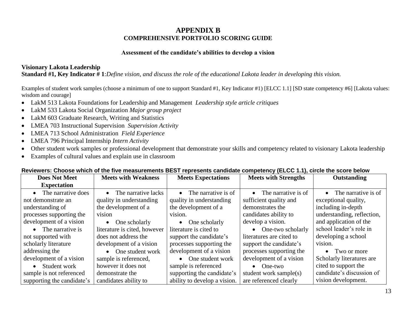## **APPENDIX B COMPREHENSIVE PORTFOLIO SCORING GUIDE**

#### **Assessment of the candidate's abilities to develop a vision**

#### **Visionary Lakota Leadership**

**Standard #1, Key Indicator # 1**:*Define vision, and discuss the role of the educational Lakota leader in developing this vision.*

Examples of student work samples (choose a minimum of one to support Standard #1, Key Indicator #1) [ELCC 1.1] [SD state competency #6] [Lakota values: wisdom and courage]

- LakM 513 Lakota Foundations for Leadership and Management *Leadership style article critiques*
- LakM 533 Lakota Social Organization *Major group project*
- LakM 603 Graduate Research, Writing and Statistics
- LMEA 703 Instructional Supervision *Supervision Activity*
- LMEA 713 School Administration *Field Experience*
- LMEA 796 Principal Internship *Intern Activity*
- Other student work samples or professional development that demonstrate your skills and competency related to visionary Lakota leadership
- Examples of cultural values and explain use in classroom

| <b>Does Not Meet</b>       | <b>Meets with Weakness</b>   | <b>Meets Expectations</b>     | <b>Meets with Strengths</b>   | Outstanding                   |
|----------------------------|------------------------------|-------------------------------|-------------------------------|-------------------------------|
| <b>Expectation</b>         |                              |                               |                               |                               |
| The narrative does         | • The narrative lacks        | $\bullet$ The narrative is of | $\bullet$ The narrative is of | $\bullet$ The narrative is of |
| not demonstrate an         | quality in understanding     | quality in understanding      | sufficient quality and        | exceptional quality,          |
| understanding of           | the development of a         | the development of a          | demonstrates the              | including in-depth            |
| processes supporting the   | vision                       | vision.                       | candidates ability to         | understanding, reflection,    |
| development of a vision    | $\bullet$ One scholarly      | $\bullet$ One scholarly       | develop a vision.             | and application of the        |
| • The narrative is         | literature is cited, however | literature is cited to        | • One-two scholarly           | school leader's role in       |
| not supported with         | does not address the         | support the candidate's       | literatures are cited to      | developing a school           |
| scholarly literature       | development of a vision      | processes supporting the      | support the candidate's       | vision.                       |
| addressing the             | • One student work           | development of a vision       | processes supporting the      | • Two or more                 |
| development of a vision    | sample is referenced,        | • One student work            | development of a vision       | Scholarly literatures are     |
| Student work               | however it does not          | sample is referenced          | $\bullet$ One-two             | cited to support the          |
| sample is not referenced   | demonstrate the              | supporting the candidate's    | student work sample(s)        | candidate's discussion of     |
| supporting the candidate's | candidates ability to        | ability to develop a vision.  | are referenced clearly        | vision development.           |

#### **Reviewers: Choose which of the five measurements BEST represents candidate competency (ELCC 1.1), circle the score below**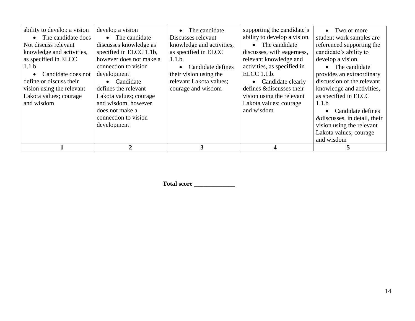| ability to develop a vision | develop a vision        | The candidate<br>$\bullet$ | supporting the candidate's   | • Two or more                |
|-----------------------------|-------------------------|----------------------------|------------------------------|------------------------------|
| The candidate does          | • The candidate         | Discusses relevant         | ability to develop a vision. | student work samples are     |
| Not discuss relevant        | discusses knowledge as  | knowledge and activities,  | • The candidate              | referenced supporting the    |
| knowledge and activities,   | specified in ELCC 1.1b, | as specified in ELCC       | discusses, with eagerness,   | candidate's ability to       |
| as specified in ELCC        | however does not make a | 1.1.b.                     | relevant knowledge and       | develop a vision.            |
| 1.1.b                       | connection to vision    | Candidate defines          | activities, as specified in  | • The candidate              |
| Candidate does not          | development             | their vision using the     | ELCC 1.1.b.                  | provides an extraordinary    |
| define or discuss their     | Candidate<br>$\bullet$  | relevant Lakota values;    | • Candidate clearly          | discussion of the relevant   |
| vision using the relevant   | defines the relevant    | courage and wisdom         | defines &discusses their     | knowledge and activities,    |
| Lakota values; courage      | Lakota values; courage  |                            | vision using the relevant    | as specified in ELCC         |
| and wisdom                  | and wisdom, however     |                            | Lakota values; courage       | 1.1.b                        |
|                             | does not make a         |                            | and wisdom                   | Candidate defines            |
|                             | connection to vision    |                            |                              | &discusses, in detail, their |
|                             | development             |                            |                              | vision using the relevant    |
|                             |                         |                            |                              | Lakota values; courage       |
|                             |                         |                            |                              | and wisdom                   |
|                             |                         |                            |                              |                              |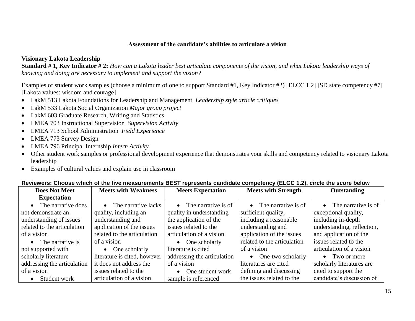#### **Assessment of the candidate's abilities to articulate a vision**

#### **Visionary Lakota Leadership**

**Standard # 1, Key Indicator # 2:** *How can a Lakota leader best articulate components of the vision, and what Lakota leadership ways of knowing and doing are necessary to implement and support the vision?*

Examples of student work samples (choose a minimum of one to support Standard #1, Key Indicator #2) [ELCC 1.2] [SD state competency #7] [Lakota values: wisdom and courage]

- LakM 513 Lakota Foundations for Leadership and Management *Leadership style article critiques*
- LakM 533 Lakota Social Organization *Major group project*
- LakM 603 Graduate Research, Writing and Statistics
- LMEA 703 Instructional Supervision *Supervision Activity*
- LMEA 713 School Administration *Field Experience*
- LMEA 773 Survey Design
- LMEA 796 Principal Internship *Intern Activity*
- Other student work samples or professional development experience that demonstrates your skills and competency related to visionary Lakota leadership
- Examples of cultural values and explain use in classroom

| <b>Does Not Meet</b>        | <b>Meets with Weakness</b>    | <b>Meets Expectation</b>      | <b>Meets with Strength</b>    | Outstanding                   |
|-----------------------------|-------------------------------|-------------------------------|-------------------------------|-------------------------------|
| <b>Expectation</b>          |                               |                               |                               |                               |
| The narrative does          | $\bullet$ The narrative lacks | $\bullet$ The narrative is of | $\bullet$ The narrative is of | $\bullet$ The narrative is of |
| not demonstrate an          | quality, including an         | quality in understanding      | sufficient quality,           | exceptional quality,          |
| understanding of issues     | understanding and             | the application of the        | including a reasonable        | including in-depth            |
| related to the articulation | application of the issues     | issues related to the         | understanding and             | understanding, reflection,    |
| of a vision                 | related to the articulation   | articulation of a vision      | application of the issues     | and application of the        |
| • The narrative is          | of a vision                   | $\bullet$ One scholarly       | related to the articulation   | issues related to the         |
| not supported with          | $\bullet$ One scholarly       | literature is cited           | of a vision                   | articulation of a vision      |
| scholarly literature        | literature is cited, however  | addressing the articulation   | • One-two scholarly           | • Two or more                 |
| addressing the articulation | it does not address the       | of a vision                   | literatures are cited         | scholarly literatures are     |
| of a vision                 | issues related to the         | • One student work            | defining and discussing       | cited to support the          |
| Student work                | articulation of a vision      | sample is referenced          | the issues related to the     | candidate's discussion of     |

#### **Reviewers: Choose which of the five measurements BEST represents candidate competency (ELCC 1.2), circle the score below**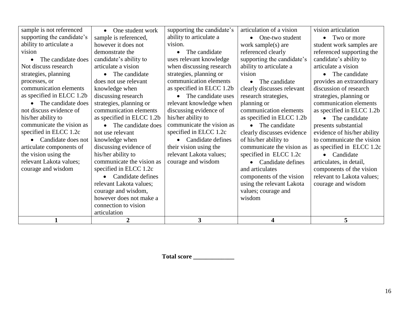| 1                          | $\overline{2}$            | 3                               | 4                              | 5                           |
|----------------------------|---------------------------|---------------------------------|--------------------------------|-----------------------------|
|                            | articulation              |                                 |                                |                             |
|                            | connection to vision      |                                 |                                |                             |
|                            | however does not make a   |                                 | wisdom                         |                             |
|                            | courage and wisdom,       |                                 | values; courage and            |                             |
|                            | relevant Lakota values;   |                                 | using the relevant Lakota      | courage and wisdom          |
|                            | Candidate defines         |                                 | components of the vision       | relevant to Lakota values;  |
| courage and wisdom         | specified in ELCC 1.2c    |                                 | and articulates                | components of the vision    |
| relevant Lakota values;    | communicate the vision as | courage and wisdom              | Candidate defines<br>$\bullet$ | articulates, in detail,     |
| the vision using the       | his/her ability to        | relevant Lakota values;         | specified in ELCC 1.2c         | • Candidate                 |
| articulate components of   | discussing evidence of    | their vision using the          | communicate the vision as      | as specified in ELCC 1.2c   |
| Candidate does not         | knowledge when            | • Candidate defines             | of his/her ability to          | to communicate the vision   |
| specified in ELCC 1.2c     | not use relevant          | specified in ELCC 1.2c          | clearly discusses evidence     | evidence of his/her ability |
| communicate the vision as  | The candidate does        | communicate the vision as       | The candidate<br>$\bullet$     | presents substantial        |
| his/her ability to         | as specified in ELCC 1.2b | his/her ability to              | as specified in ELCC 1.2b      | • The candidate             |
| not discuss evidence of    | communication elements    | discussing evidence of          | communication elements         | as specified in ELCC 1.2b   |
| The candidate does         | strategies, planning or   | relevant knowledge when         | planning or                    | communication elements      |
| as specified in ELCC 1.2b  | discussing research       | The candidate uses<br>$\bullet$ | research strategies,           | strategies, planning or     |
| communication elements     | knowledge when            | as specified in ELCC 1.2b       | clearly discusses relevant     | discussion of research      |
| processes, or              | does not use relevant     | communication elements          | The candidate<br>$\bullet$     | provides an extraordinary   |
| strategies, planning       | The candidate             | strategies, planning or         | vision                         | The candidate<br>$\bullet$  |
| Not discuss research       | articulate a vision       | when discussing research        | ability to articulate a        | articulate a vision         |
| The candidate does         | candidate's ability to    | uses relevant knowledge         | supporting the candidate's     | candidate's ability to      |
| vision                     | demonstrate the           | The candidate<br>$\bullet$      | referenced clearly             | referenced supporting the   |
| ability to articulate a    | however it does not       | vision.                         | work sample(s) are             | student work samples are    |
| supporting the candidate's | sample is referenced,     | ability to articulate a         | One-two student<br>$\bullet$   | Two or more<br>$\bullet$    |
| sample is not referenced   | One student work          | supporting the candidate's      | articulation of a vision       | vision articulation         |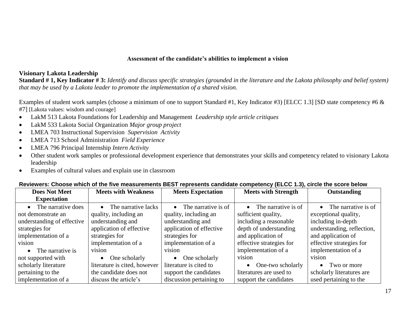#### **Assessment of the candidate's abilities to implement a vision**

#### **Visionary Lakota Leadership**

**Standard # 1, Key Indicator # 3:** *Identify and discuss specific strategies (grounded in the literature and the Lakota philosophy and belief system) that may be used by a Lakota leader to promote the implementation of a shared vision.*

Examples of student work samples (choose a minimum of one to support Standard #1, Key Indicator #3) [ELCC 1.3] [SD state competency #6 & #7] [Lakota values: wisdom and courage]

- LakM 513 Lakota Foundations for Leadership and Management *Leadership style article critiques*
- LakM 533 Lakota Social Organization *Major group project*
- LMEA 703 Instructional Supervision *Supervision Activity*
- LMEA 713 School Administration *Field Experience*
- LMEA 796 Principal Internship *Intern Activity*
- Other student work samples or professional development experience that demonstrates your skills and competency related to visionary Lakota leadership
- Examples of cultural values and explain use in classroom

| <b>Does Not Meet</b>       | <b>Meets with Weakness</b>       | <b>Meets Expectation</b>      | <b>Meets with Strength</b>    | Outstanding                   |
|----------------------------|----------------------------------|-------------------------------|-------------------------------|-------------------------------|
| <b>Expectation</b>         |                                  |                               |                               |                               |
| • The narrative does       | The narrative lacks<br>$\bullet$ | $\bullet$ The narrative is of | $\bullet$ The narrative is of | $\bullet$ The narrative is of |
| not demonstrate an         | quality, including an            | quality, including an         | sufficient quality,           | exceptional quality,          |
| understanding of effective | understanding and                | understanding and             | including a reasonable        | including in-depth            |
| strategies for             | application of effective         | application of effective      | depth of understanding        | understanding, reflection,    |
| implementation of a        | strategies for                   | strategies for                | and application of            | and application of            |
| vision                     | implementation of a              | implementation of a           | effective strategies for      | effective strategies for      |
| The narrative is           | vision                           | vision                        | implementation of a           | implementation of a           |
| not supported with         | One scholarly<br>$\bullet$       | $\bullet$ One scholarly       | vision                        | vision                        |
| scholarly literature       | literature is cited, however     | literature is cited to        | One-two scholarly             | $\bullet$ Two or more         |
| pertaining to the          | the candidate does not           | support the candidates        | literatures are used to       | scholarly literatures are     |
| implementation of a        | discuss the article's            | discussion pertaining to      | support the candidates        | used pertaining to the        |

#### **Reviewers: Choose which of the five measurements BEST represents candidate competency (ELCC 1.3), circle the score below**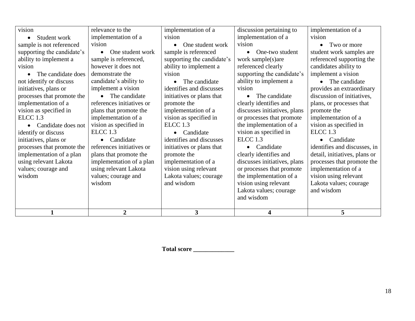| vision                     | relevance to the          | implementation of a        | discussion pertaining to     | implementation of a           |
|----------------------------|---------------------------|----------------------------|------------------------------|-------------------------------|
| Student work               | implementation of a       | vision                     | implementation of a          | vision                        |
| sample is not referenced   | vision                    | One student work           | vision                       | Two or more<br>$\bullet$      |
| supporting the candidate's | One student work          | sample is referenced       | One-two student<br>$\bullet$ | student work samples are      |
| ability to implement a     | sample is referenced,     | supporting the candidate's | work sample(s)are            | referenced supporting the     |
| vision                     | however it does not       | ability to implement a     | referenced clearly           | candidates ability to         |
| The candidate does         | demonstrate the           | vision                     | supporting the candidate's   | implement a vision            |
| not identify or discuss    | candidate's ability to    | The candidate<br>$\bullet$ | ability to implement a       | The candidate                 |
| initiatives, plans or      | implement a vision        | identifies and discusses   | vision                       | provides an extraordinary     |
| processes that promote the | The candidate             | initiatives or plans that  | The candidate                | discussion of initiatives,    |
| implementation of a        | references initiatives or | promote the                | clearly identifies and       | plans, or processes that      |
| vision as specified in     | plans that promote the    | implementation of a        | discusses initiatives, plans | promote the                   |
| ELCC <sub>1.3</sub>        | implementation of a       | vision as specified in     | or processes that promote    | implementation of a           |
| Candidate does not         | vision as specified in    | ELCC 1.3                   | the implementation of a      | vision as specified in        |
| identify or discuss        | ELCC <sub>1.3</sub>       | Candidate                  | vision as specified in       | ELCC <sub>1.3</sub>           |
| initiatives, plans or      | Candidate                 | identifies and discusses   | ELCC <sub>1.3</sub>          | • Candidate                   |
| processes that promote the | references initiatives or | initiatives or plans that  | Candidate                    | identifies and discusses, in  |
| implementation of a plan   | plans that promote the    | promote the                | clearly identifies and       | detail, initiatives, plans or |
| using relevant Lakota      | implementation of a plan  | implementation of a        | discusses initiatives, plans | processes that promote the    |
| values; courage and        | using relevant Lakota     | vision using relevant      | or processes that promote    | implementation of a           |
| wisdom                     | values; courage and       | Lakota values; courage     | the implementation of a      | vision using relevant         |
|                            | wisdom                    | and wisdom                 | vision using relevant        | Lakota values; courage        |
|                            |                           |                            | Lakota values; courage       | and wisdom                    |
|                            |                           |                            | and wisdom                   |                               |
|                            | $\mathbf{2}$              | 3                          | 4                            | 5                             |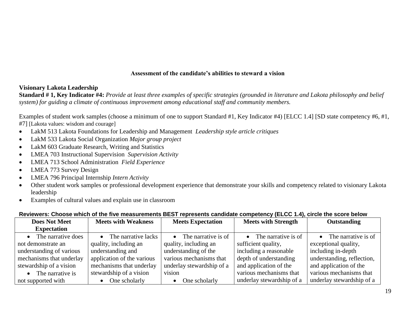#### **Assessment of the candidate's abilities to steward a vision**

#### **Visionary Lakota Leadership**

**Standard # 1, Key Indicator #4:** *Provide at least three examples of specific strategies (grounded in literature and Lakota philosophy and belief system) for guiding a climate of continuous improvement among educational staff and community members.*

Examples of student work samples (choose a minimum of one to support Standard #1, Key Indicator #4) [ELCC 1.4] [SD state competency #6, #1, #7] [Lakota values: wisdom and courage]

- LakM 513 Lakota Foundations for Leadership and Management *Leadership style article critiques*
- LakM 533 Lakota Social Organization *Major group project*
- LakM 603 Graduate Research, Writing and Statistics
- LMEA 703 Instructional Supervision *Supervision Activity*
- LMEA 713 School Administration *Field Experience*
- LMEA 773 Survey Design
- LMEA 796 Principal Internship *Intern Activity*
- Other student work samples or professional development experience that demonstrate your skills and competency related to visionary Lakota leadership
- Examples of cultural values and explain use in classroom

| <b>Does Not Meet</b>       | <b>Meets with Weakness</b> | <b>Meets Expectation</b>      | <b>Meets with Strength</b>    | Outstanding                   |
|----------------------------|----------------------------|-------------------------------|-------------------------------|-------------------------------|
| <b>Expectation</b>         |                            |                               |                               |                               |
| • The narrative does       | • The narrative lacks      | $\bullet$ The narrative is of | $\bullet$ The narrative is of | $\bullet$ The narrative is of |
| not demonstrate an         | quality, including an      | quality, including an         | sufficient quality,           | exceptional quality,          |
| understanding of various   | understanding and          | understanding of the          | including a reasonable        | including in-depth            |
| mechanisms that underlay   | application of the various | various mechanisms that       | depth of understanding        | understanding, reflection,    |
| stewardship of a vision    | mechanisms that underlay   | underlay stewardship of a     | and application of the        | and application of the        |
| $\bullet$ The narrative is | stewardship of a vision    | vision                        | various mechanisms that       | various mechanisms that       |
| not supported with         | One scholarly              | One scholarly                 | underlay stewardship of a     | underlay stewardship of a     |

#### **Reviewers: Choose which of the five measurements BEST represents candidate competency (ELCC 1.4), circle the score below**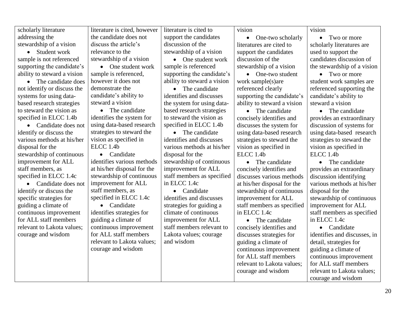| scholarly literature            | literature is cited, however | literature is cited to        | vision                         | vision                       |
|---------------------------------|------------------------------|-------------------------------|--------------------------------|------------------------------|
| addressing the                  | the candidate does not       | support the candidates        | One-two scholarly<br>$\bullet$ | • Two or more                |
| stewardship of a vision         | discuss the article's        | discussion of the             | literatures are cited to       | scholarly literatures are    |
| Student work<br>$\bullet$       | relevance to the             | stewardship of a vision       | support the candidates         | used to support the          |
| sample is not referenced        | stewardship of a vision      | One student work<br>$\bullet$ | discussion of the              | candidates discussion of     |
| supporting the candidate's      | • One student work           | sample is referenced          | stewardship of a vision        | the stewardship of a vision  |
| ability to steward a vision     | sample is referenced,        | supporting the candidate's    | One-two student<br>$\bullet$   | • Two or more                |
| The candidate does<br>$\bullet$ | however it does not          | ability to steward a vision   | work sample(s)are              | student work samples are     |
| not identify or discuss the     | demonstrate the              | • The candidate               | referenced clearly             | referenced supporting the    |
| systems for using data-         | candidate's ability to       | identifies and discusses      | supporting the candidate's     | candidate's ability to       |
| based research strategies       | steward a vision             | the system for using data-    | ability to steward a vision    | steward a vision             |
| to steward the vision as        | • The candidate              | based research strategies     | • The candidate                | • The candidate              |
| specified in ELCC 1.4b          | identifies the system for    | to steward the vision as      | concisely identifies and       | provides an extraordinary    |
| • Candidate does not            | using data-based research    | specified in ELCC 1.4b        | discusses the system for       | discussion of systems for    |
| identify or discuss the         | strategies to steward the    | • The candidate               | using data-based research      | using data-based research    |
| various methods at his/her      | vision as specified in       | identifies and discusses      | strategies to steward the      | strategies to steward the    |
| disposal for the                | ELCC 1.4b                    | various methods at his/her    | vision as specified in         | vision as specified in       |
| stewardship of continuous       | • Candidate                  | disposal for the              | ELCC 1.4b                      | ELCC 1.4b                    |
| improvement for ALL             | identifies various methods   | stewardship of continuous     | The candidate<br>$\bullet$     | The candidate<br>$\bullet$   |
| staff members, as               | at his/her disposal for the  | improvement for ALL           | concisely identifies and       | provides an extraordinary    |
| specified in ELCC 1.4c          | stewardship of continuous    | staff members as specified    | discusses various methods      | discussion identifying       |
| • Candidate does not            | improvement for ALL          | in ELCC 1.4c                  | at his/her disposal for the    | various methods at his/her   |
| identify or discuss the         | staff members, as            | • Candidate                   | stewardship of continuous      | disposal for the             |
| specific strategies for         | specified in ELCC 1.4c       | identifies and discusses      | improvement for ALL            | stewardship of continuous    |
| guiding a climate of            | • Candidate                  | strategies for guiding a      | staff members as specified     | improvement for ALL          |
| continuous improvement          | identifies strategies for    | climate of continuous         | in ELCC 1.4c                   | staff members as specified   |
| for ALL staff members           | guiding a climate of         | improvement for ALL           | • The candidate                | in ELCC 1.4c                 |
| relevant to Lakota values;      | continuous improvement       | staff members relevant to     | concisely identifies and       | • Candidate                  |
| courage and wisdom              | for ALL staff members        | Lakota values; courage        | discusses strategies for       | identifies and discusses, in |
|                                 | relevant to Lakota values;   | and wisdom                    | guiding a climate of           | detail, strategies for       |
|                                 | courage and wisdom           |                               | continuous improvement         | guiding a climate of         |
|                                 |                              |                               | for ALL staff members          | continuous improvement       |
|                                 |                              |                               | relevant to Lakota values;     | for ALL staff members        |
|                                 |                              |                               | courage and wisdom             | relevant to Lakota values;   |
|                                 |                              |                               |                                | courage and wisdom           |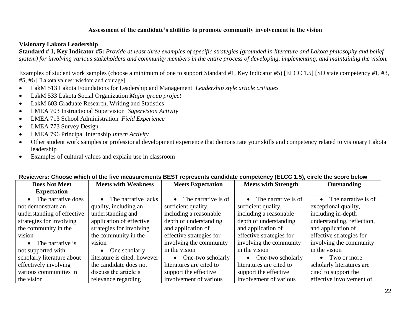#### **Assessment of the candidate's abilities to promote community involvement in the vision**

#### **Visionary Lakota Leadership**

**Standard # 1, Key Indicator #5:** *Provide at least three examples of specific strategies (grounded in literature and Lakota philosophy and belief system) for involving various stakeholders and community members in the entire process of developing, implementing, and maintaining the vision.*

Examples of student work samples (choose a minimum of one to support Standard #1, Key Indicator #5) [ELCC 1.5] [SD state competency #1, #3, #5, #6] [Lakota values: wisdom and courage]

- LakM 513 Lakota Foundations for Leadership and Management *Leadership style article critiques*
- LakM 533 Lakota Social Organization *Major group project*
- LakM 603 Graduate Research, Writing and Statistics
- LMEA 703 Instructional Supervision *Supervision Activity*
- LMEA 713 School Administration *Field Experience*
- LMEA 773 Survey Design
- LMEA 796 Principal Internship *Intern Activity*
- Other student work samples or professional development experience that demonstrate your skills and competency related to visionary Lakota leadership
- Examples of cultural values and explain use in classroom

|                               | Reviewers. Choose which of the five hieasurements DEST represents candidate competency (ELCC 1.3), Choie the Score below |                               |                               |                               |
|-------------------------------|--------------------------------------------------------------------------------------------------------------------------|-------------------------------|-------------------------------|-------------------------------|
| <b>Does Not Meet</b>          | <b>Meets with Weakness</b>                                                                                               | <b>Meets Expectation</b>      | <b>Meets with Strength</b>    | Outstanding                   |
| <b>Expectation</b>            |                                                                                                                          |                               |                               |                               |
| The narrative does            | $\bullet$ The narrative lacks                                                                                            | $\bullet$ The narrative is of | $\bullet$ The narrative is of | $\bullet$ The narrative is of |
| not demonstrate an            | quality, including an                                                                                                    | sufficient quality,           | sufficient quality,           | exceptional quality,          |
| understanding of effective    | understanding and                                                                                                        | including a reasonable        | including a reasonable        | including in-depth            |
| strategies for involving      | application of effective                                                                                                 | depth of understanding        | depth of understanding        | understanding, reflection,    |
| the community in the          | strategies for involving                                                                                                 | and application of            | and application of            | and application of            |
| vision                        | the community in the                                                                                                     | effective strategies for      | effective strategies for      | effective strategies for      |
| The narrative is<br>$\bullet$ | vision                                                                                                                   | involving the community       | involving the community       | involving the community       |
| not supported with            | One scholarly<br>$\bullet$                                                                                               | in the vision                 | in the vision                 | in the vision                 |
| scholarly literature about    | literature is cited, however                                                                                             | • One-two scholarly           | • One-two scholarly           | • Two or more                 |
| effectively involving         | the candidate does not                                                                                                   | literatures are cited to      | literatures are cited to      | scholarly literatures are     |
| various communities in        | discuss the article's                                                                                                    | support the effective         | support the effective         | cited to support the          |
| the vision                    | relevance regarding                                                                                                      | involvement of various        | involvement of various        | effective involvement of      |

#### **Reviewers: Choose which of the five measurements BEST represents candidate competency (ELCC 1.5), circle the score below**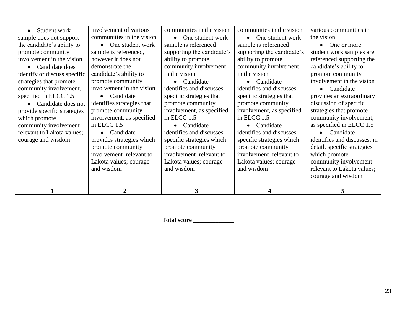|                                                                           | $\overline{2}$                                                                                                                                | 3                                                                                                                                                          |                                                                                                                                                            | 5                                                                                                                                                                                                               |
|---------------------------------------------------------------------------|-----------------------------------------------------------------------------------------------------------------------------------------------|------------------------------------------------------------------------------------------------------------------------------------------------------------|------------------------------------------------------------------------------------------------------------------------------------------------------------|-----------------------------------------------------------------------------------------------------------------------------------------------------------------------------------------------------------------|
| community involvement<br>relevant to Lakota values;<br>courage and wisdom | in ELCC 1.5<br>Candidate<br>provides strategies which<br>promote community<br>involvement relevant to<br>Lakota values; courage<br>and wisdom | Candidate<br>identifies and discusses<br>specific strategies which<br>promote community<br>involvement relevant to<br>Lakota values; courage<br>and wisdom | Candidate<br>identifies and discusses<br>specific strategies which<br>promote community<br>involvement relevant to<br>Lakota values; courage<br>and wisdom | as specified in ELCC 1.5<br>Candidate<br>$\bullet$<br>identifies and discusses, in<br>detail, specific strategies<br>which promote<br>community involvement<br>relevant to Lakota values;<br>courage and wisdom |
| which promote                                                             | involvement, as specified                                                                                                                     | in ELCC 1.5                                                                                                                                                | in ELCC 1.5                                                                                                                                                | community involvement,                                                                                                                                                                                          |
| Candidate does not<br>provide specific strategies                         | identifies strategies that<br>promote community                                                                                               | promote community<br>involvement, as specified                                                                                                             | promote community<br>involvement, as specified                                                                                                             | discussion of specific<br>strategies that promote                                                                                                                                                               |
| specified in ELCC 1.5                                                     | Candidate                                                                                                                                     | specific strategies that                                                                                                                                   | specific strategies that                                                                                                                                   | provides an extraordinary                                                                                                                                                                                       |
| community involvement,                                                    | involvement in the vision                                                                                                                     | identifies and discusses                                                                                                                                   | identifies and discusses                                                                                                                                   | Candidate<br>$\bullet$                                                                                                                                                                                          |
| strategies that promote                                                   | promote community                                                                                                                             | Candidate<br>$\bullet$                                                                                                                                     | Candidate                                                                                                                                                  | involvement in the vision                                                                                                                                                                                       |
| identify or discuss specific                                              | candidate's ability to                                                                                                                        | in the vision                                                                                                                                              | in the vision                                                                                                                                              | promote community                                                                                                                                                                                               |
| Candidate does                                                            | demonstrate the                                                                                                                               | community involvement                                                                                                                                      | community involvement                                                                                                                                      | candidate's ability to                                                                                                                                                                                          |
| promote community<br>involvement in the vision                            | sample is referenced,<br>however it does not                                                                                                  | supporting the candidate's<br>ability to promote                                                                                                           | supporting the candidate's<br>ability to promote                                                                                                           | student work samples are<br>referenced supporting the                                                                                                                                                           |
| the candidate's ability to                                                | One student work                                                                                                                              | sample is referenced                                                                                                                                       | sample is referenced                                                                                                                                       | One or more                                                                                                                                                                                                     |
| sample does not support                                                   | communities in the vision                                                                                                                     | One student work<br>$\bullet$                                                                                                                              | One student work<br>$\bullet$                                                                                                                              | the vision                                                                                                                                                                                                      |
| Student work                                                              | involvement of various                                                                                                                        | communities in the vision                                                                                                                                  | communities in the vision                                                                                                                                  | various communities in                                                                                                                                                                                          |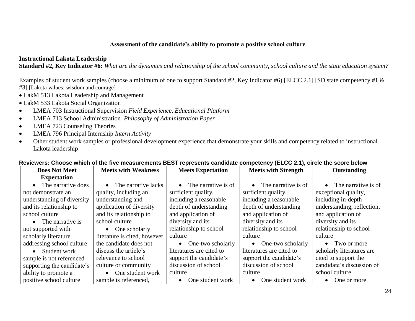#### **Assessment of the candidate's ability to promote a positive school culture**

#### **Instructional Lakota Leadership**

**Standard #2, Key Indicator #6:** *What are the dynamics and relationship of the school community, school culture and the state education system?*

Examples of student work samples (choose a minimum of one to support Standard #2, Key Indicator #6) [ELCC 2.1] [SD state competency #1 & #3] [Lakota values: wisdom and courage]

- LakM 513 Lakota Leadership and Management
- LakM 533 Lakota Social Organization
- LMEA 703 Instructional Supervision *Field Experience, Educational Platform*
- LMEA 713 School Administration *Philosophy of Administration Paper*
- LMEA 723 Counseling Theories
- LMEA 796 Principal Internship *Intern Activity*
- Other student work samples or professional development experience that demonstrate your skills and competency related to instructional Lakota leadership

| <b>Does Not Meet</b>       | <b>Meets with Weakness</b>   | <b>Meets Expectation</b>         | $P^{\text{S}}(1,0)$ $(2,0)$<br><b>Meets with Strength</b> | Outstanding                   |
|----------------------------|------------------------------|----------------------------------|-----------------------------------------------------------|-------------------------------|
| <b>Expectation</b>         |                              |                                  |                                                           |                               |
| The narrative does         | The narrative lacks          | The narrative is of<br>$\bullet$ | $\bullet$ The narrative is of                             | $\bullet$ The narrative is of |
| not demonstrate an         | quality, including an        | sufficient quality,              | sufficient quality,                                       | exceptional quality,          |
| understanding of diversity | understanding and            | including a reasonable           | including a reasonable                                    | including in-depth            |
| and its relationship to    | application of diversity     | depth of understanding           | depth of understanding                                    | understanding, reflection,    |
| school culture             | and its relationship to      | and application of               | and application of                                        | and application of            |
| • The narrative is         | school culture               | diversity and its                | diversity and its                                         | diversity and its             |
| not supported with         | $\bullet$ One scholarly      | relationship to school           | relationship to school                                    | relationship to school        |
| scholarly literature       | literature is cited, however | culture                          | culture                                                   | culture                       |
| addressing school culture  | the candidate does not       | One-two scholarly<br>$\bullet$   | $\bullet$ One-two scholarly                               | • Two or more                 |
| • Student work             | discuss the article's        | literatures are cited to         | literatures are cited to                                  | scholarly literatures are     |
| sample is not referenced   | relevance to school          | support the candidate's          | support the candidate's                                   | cited to support the          |
| supporting the candidate's | culture or community         | discussion of school             | discussion of school                                      | candidate's discussion of     |
| ability to promote a       | One student work             | culture                          | culture                                                   | school culture                |
| positive school culture    | sample is referenced,        | One student work                 | One student work<br>$\bullet$                             | One or more<br>$\bullet$      |

#### **Reviewers: Choose which of the five measurements BEST represents candidate competency (ELCC 2.1), circle the score below**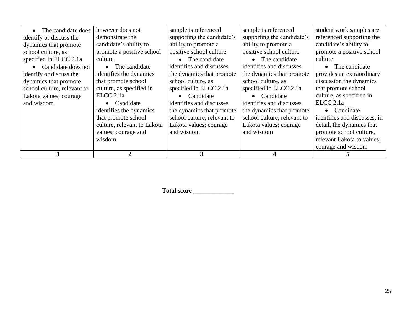| The candidate does          | however does not            | sample is referenced        | sample is referenced        | student work samples are     |
|-----------------------------|-----------------------------|-----------------------------|-----------------------------|------------------------------|
| identify or discuss the     | demonstrate the             | supporting the candidate's  | supporting the candidate's  | referenced supporting the    |
| dynamics that promote       | candidate's ability to      | ability to promote a        | ability to promote a        | candidate's ability to       |
| school culture, as          | promote a positive school   | positive school culture     | positive school culture     | promote a positive school    |
| specified in ELCC 2.1a      | culture                     | • The candidate             | • The candidate             | culture                      |
| • Candidate does not        | The candidate<br>$\bullet$  | identifies and discusses    | identifies and discusses    | The candidate<br>$\bullet$   |
| identify or discuss the     | identifies the dynamics     | the dynamics that promote   | the dynamics that promote   | provides an extraordinary    |
| dynamics that promote       | that promote school         | school culture, as          | school culture, as          | discussion the dynamics      |
| school culture, relevant to | culture, as specified in    | specified in ELCC 2.1a      | specified in ELCC 2.1a      | that promote school          |
| Lakota values; courage      | ECCC 2.1a                   | • Candidate                 | Candidate                   | culture, as specified in     |
| and wisdom                  | Candidate                   | identifies and discusses    | identifies and discusses    | ELCC <sub>2.1a</sub>         |
|                             | identifies the dynamics     | the dynamics that promote   | the dynamics that promote   | Candidate<br>$\bullet$       |
|                             | that promote school         | school culture, relevant to | school culture, relevant to | identifies and discusses, in |
|                             | culture, relevant to Lakota | Lakota values; courage      | Lakota values; courage      | detail, the dynamics that    |
|                             | values; courage and         | and wisdom                  | and wisdom                  | promote school culture,      |
|                             | wisdom                      |                             |                             | relevant Lakota to values;   |
|                             |                             |                             |                             | courage and wisdom           |
|                             | C                           |                             |                             |                              |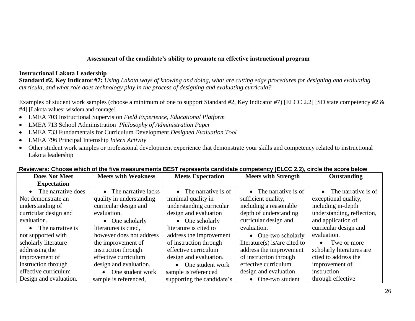#### **Assessment of the candidate's ability to promote an effective instructional program**

#### **Instructional Lakota Leadership**

**Standard #2, Key Indicator #7:** *Using Lakota ways of knowing and doing, what are cutting edge procedures for designing and evaluating curricula, and what role does technology play in the process of designing and evaluating curricula?*

Examples of student work samples (choose a minimum of one to support Standard #2, Key Indicator #7) [ELCC 2.2] [SD state competency #2 & #4] [Lakota values: wisdom and courage]

- LMEA 703 Instructional Supervision *Field Experience, Educational Platform*
- LMEA 713 School Administration *Philosophy of Administration Paper*
- LMEA 733 Fundamentals for Curriculum Development *Designed Evaluation Tool*
- LMEA 796 Principal Internship *Intern Activity*
- Other student work samples or professional development experience that demonstrate your skills and competency related to instructional Lakota leadership

| <b>Does Not Meet</b>   | <b>Meets with Weakness</b>    | <b>Meets Expectation</b>      | <b>Meets with Strength</b>    | Outstanding                   |
|------------------------|-------------------------------|-------------------------------|-------------------------------|-------------------------------|
| <b>Expectation</b>     |                               |                               |                               |                               |
| • The narrative does   | • The narrative lacks         | $\bullet$ The narrative is of | $\bullet$ The narrative is of | $\bullet$ The narrative is of |
| Not demonstrate an     | quality in understanding      | minimal quality in            | sufficient quality,           | exceptional quality,          |
| understanding of       | curricular design and         | understanding curricular      | including a reasonable        | including in-depth            |
| curricular design and  | evaluation.                   | design and evaluation         | depth of understanding        | understanding, reflection,    |
| evaluation.            | $\bullet$ One scholarly       | $\bullet$ One scholarly       | curricular design and         | and application of            |
| • The narrative is     | literatures is cited,         | literature is cited to        | evaluation.                   | curricular design and         |
| not supported with     | however does not address      | address the improvement       | • One-two scholarly           | evaluation.                   |
| scholarly literature   | the improvement of            | of instruction through        | literature(s) is/are cited to | $\bullet$ Two or more         |
| addressing the         | instruction through           | effective curriculum          | address the improvement       | scholarly literatures are     |
| improvement of         | effective curriculum          | design and evaluation.        | of instruction through        | cited to address the          |
| instruction through    | design and evaluation.        | • One student work            | effective curriculum          | improvement of                |
| effective curriculum   | One student work<br>$\bullet$ | sample is referenced          | design and evaluation         | instruction                   |
| Design and evaluation. | sample is referenced,         | supporting the candidate's    | • One-two student             | through effective             |

#### **Reviewers: Choose which of the five measurements BEST represents candidate competency (ELCC 2.2), circle the score below**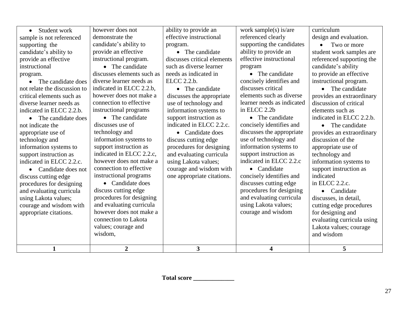| sample is not referenced     | demonstrate the<br>candidate's ability to | effective instructional     | referenced clearly<br>supporting the candidates | design and evaluation.<br>Two or more |
|------------------------------|-------------------------------------------|-----------------------------|-------------------------------------------------|---------------------------------------|
| supporting the               |                                           | program.                    |                                                 |                                       |
| candidate's ability to       | provide an effective                      | • The candidate             | ability to provide an                           | student work samples are              |
| provide an effective         | instructional program.                    | discusses critical elements | effective instructional                         | referenced supporting the             |
| instructional                | • The candidate                           | such as diverse learner     | program                                         | candidate's ability                   |
| program.                     | discusses elements such as                | needs as indicated in       | • The candidate                                 | to provide an effective               |
| The candidate does           | diverse learner needs as                  | ELCC 2.2.b.                 | concisely identifies and                        | instructional program.                |
| not relate the discussion to | indicated in ELCC 2.2.b.                  | • The candidate             | discusses critical                              | The candidate<br>$\bullet$            |
| critical elements such as    | however does not make a                   | discusses the appropriate   | elements such as diverse                        | provides an extraordinary             |
| diverse learner needs as     | connection to effective                   | use of technology and       | learner needs as indicated                      | discussion of critical                |
| indicated in ELCC 2.2.b.     | instructional programs                    | information systems to      | in ELCC 2.2b                                    | elements such as                      |
| • The candidate does         | • The candidate                           | support instruction as      | • The candidate                                 | indicated in ELCC 2.2.b.              |
| not indicate the             | discusses use of                          | indicated in ELCC 2.2.c.    | concisely identifies and                        | • The candidate                       |
| appropriate use of           | technology and                            | • Candidate does            | discusses the appropriate                       | provides an extraordinary             |
| technology and               | information systems to                    | discuss cutting edge        | use of technology and                           | discussion of the                     |
| information systems to       | support instruction as                    | procedures for designing    | information systems to                          | appropriate use of                    |
| support instruction as       | indicated in ELCC 2.2.c.                  | and evaluating curricula    | support instruction as                          | technology and                        |
| indicated in ELCC 2.2.c.     | however does not make a                   | using Lakota values;        | indicated in ELCC 2.2.c                         | information systems to                |
| • Candidate does not         | connection to effective                   | courage and wisdom with     | • Candidate                                     | support instruction as                |
| discuss cutting edge         | instructional programs                    | one appropriate citations.  | concisely identifies and                        | indicated                             |
| procedures for designing     | • Candidate does                          |                             | discusses cutting edge                          | in ELCC 2.2.c.                        |
| and evaluating curricula     | discuss cutting edge                      |                             | procedures for designing                        | • Candidate                           |
| using Lakota values;         | procedures for designing                  |                             | and evaluating curricula                        | discusses, in detail,                 |
| courage and wisdom with      | and evaluating curricula                  |                             | using Lakota values;                            | cutting edge procedures               |
| appropriate citations.       | however does not make a                   |                             | courage and wisdom                              | for designing and                     |
|                              | connection to Lakota                      |                             |                                                 | evaluating curricula using            |
|                              | values; courage and                       |                             |                                                 | Lakota values; courage                |
|                              | wisdom,                                   |                             |                                                 | and wisdom                            |
|                              |                                           |                             |                                                 |                                       |
| $\mathbf{1}$                 | $\overline{2}$                            | $\overline{3}$              | $\overline{\mathbf{4}}$                         | 5                                     |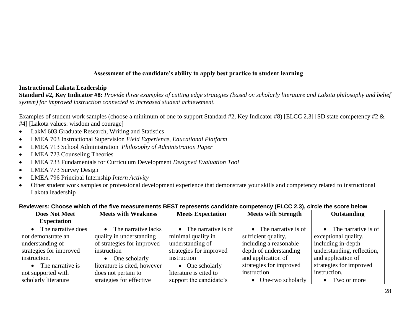#### **Assessment of the candidate's ability to apply best practice to student learning**

#### **Instructional Lakota Leadership**

**Standard #2, Key Indicator #8:** *Provide three examples of cutting edge strategies (based on scholarly literature and Lakota philosophy and belief system) for improved instruction connected to increased student achievement.*

Examples of student work samples (choose a minimum of one to support Standard #2, Key Indicator #8) [ELCC 2.3] [SD state competency #2  $\&$ #4] [Lakota values: wisdom and courage]

- LakM 603 Graduate Research, Writing and Statistics
- LMEA 703 Instructional Supervision *Field Experience, Educational Platform*
- LMEA 713 School Administration *Philosophy of Administration Paper*
- LMEA 723 Counseling Theories
- LMEA 733 Fundamentals for Curriculum Development *Designed Evaluation Tool*
- LMEA 773 Survey Design
- LMEA 796 Principal Internship *Intern Activity*
- Other student work samples or professional development experience that demonstrate your skills and competency related to instructional Lakota leadership

| <b>Does Not Meet</b>    | <b>Meets with Weakness</b>   | <b>Meets Expectation</b>      | <b>Meets with Strength</b> | <b>Outstanding</b>            |
|-------------------------|------------------------------|-------------------------------|----------------------------|-------------------------------|
| <b>Expectation</b>      |                              |                               |                            |                               |
| The narrative does      | • The narrative lacks        | $\bullet$ The narrative is of | • The narrative is of      | $\bullet$ The narrative is of |
| not demonstrate an      | quality in understanding     | minimal quality in            | sufficient quality,        | exceptional quality,          |
| understanding of        | of strategies for improved   | understanding of              | including a reasonable     | including in-depth            |
| strategies for improved | instruction                  | strategies for improved       | depth of understanding     | understanding, reflection,    |
| instruction.            | One scholarly                | instruction                   | and application of         | and application of            |
| The narrative is        | literature is cited, however | $\bullet$ One scholarly       | strategies for improved    | strategies for improved       |
| not supported with      | does not pertain to          | literature is cited to        | instruction                | instruction.                  |
| scholarly literature    | strategies for effective     | support the candidate's       | • One-two scholarly        | Two or more<br>$\bullet$      |

#### **Reviewers: Choose which of the five measurements BEST represents candidate competency (ELCC 2.3), circle the score below**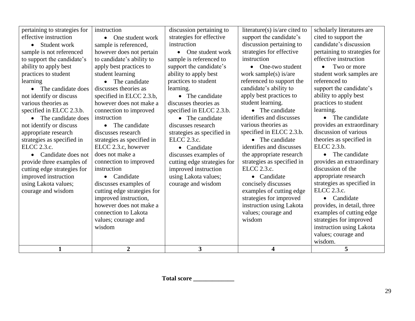| $\overline{2}$<br>3 <sup>1</sup><br>$\mathbf{1}$<br>4                                                            | 5                            |
|------------------------------------------------------------------------------------------------------------------|------------------------------|
|                                                                                                                  | wisdom.                      |
|                                                                                                                  | values; courage and          |
| wisdom                                                                                                           | instruction using Lakota     |
| values; courage and<br>wisdom                                                                                    | strategies for improved      |
| connection to Lakota<br>values; courage and                                                                      | examples of cutting edge     |
| however does not make a<br>instruction using Lakota                                                              | provides, in detail, three   |
| improved instruction,<br>strategies for improved                                                                 | • Candidate                  |
| cutting edge strategies for<br>examples of cutting edge<br>courage and wisdom                                    | ELCC 2.3.c.                  |
| using Lakota values;<br>discusses examples of<br>courage and wisdom<br>concisely discusses                       | strategies as specified in   |
| improved instruction<br>using Lakota values;<br>• Candidate<br>• Candidate                                       | appropriate research         |
| ELCC 2.3.c.<br>instruction<br>cutting edge strategies for<br>improved instruction                                | discussion of the            |
| strategies as specified in<br>connection to improved<br>provide three examples of<br>cutting edge strategies for | provides an extraordinary    |
| the appropriate research<br>does not make a<br>discusses examples of<br>• Candidate does not                     | The candidate<br>$\bullet$   |
| ELCC 2.3.c, however<br>identifies and discusses<br>• Candidate                                                   | ELCC 2.3.b.                  |
| strategies as specified in<br>ELCC 2.3.c.<br>• The candidate<br>strategies as specified in                       | theories as specified in     |
| specified in ELCC 2.3.b.<br>appropriate research<br>discusses research<br>strategies as specified in             | discussion of various        |
| various theories as<br>not identify or discuss<br>• The candidate<br>discusses research                          | provides an extraordinary    |
| identifies and discusses<br>instruction<br>The candidate does<br>• The candidate                                 | The candidate<br>$\bullet$   |
| specified in ELCC 2.3.b.<br>connection to improved<br>specified in ELCC 2.3.b.<br>• The candidate                | learning.                    |
| student learning.<br>however does not make a<br>discusses theories as<br>various theories as                     | practices to student         |
| apply best practices to<br>• The candidate<br>not identify or discuss<br>specified in ELCC 2.3.b,                | ability to apply best        |
| candidate's ability to<br>discusses theories as<br>learning.<br>• The candidate does                             | support the candidate's      |
| practices to student<br>referenced to support the<br>The candidate                                               | referenced to                |
| ability to apply best<br>practices to student<br>student learning<br>work sample(s) is/are                       | student work samples are     |
| ability to apply best<br>support the candidate's<br>apply best practices to<br>• One-two student                 | Two or more<br>$\bullet$     |
| instruction<br>to support the candidate's<br>to candidate's ability to<br>sample is referenced to                | effective instruction        |
| strategies for effective<br>sample is not referenced<br>however does not pertain<br>• One student work           | pertaining to strategies for |
| discussion pertaining to<br>instruction<br>sample is referenced,<br>Student work                                 | candidate's discussion       |
| effective instruction<br>strategies for effective<br>support the candidate's<br>• One student work               | cited to support the         |
| pertaining to strategies for<br>discussion pertaining to<br>literature(s) is/are cited to<br>instruction         | scholarly literatures are    |
|                                                                                                                  |                              |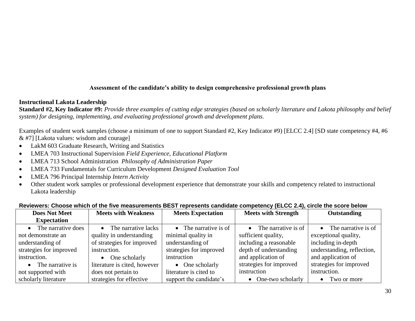#### **Assessment of the candidate's ability to design comprehensive professional growth plans**

#### **Instructional Lakota Leadership**

**Standard #2, Key Indicator #9:** *Provide three examples of cutting edge strategies (based on scholarly literature and Lakota philosophy and belief system) for designing, implementing, and evaluating professional growth and development plans.*

Examples of student work samples (choose a minimum of one to support Standard #2, Key Indicator #9) [ELCC 2.4] [SD state competency #4, #6 & #7] [Lakota values: wisdom and courage]

- LakM 603 Graduate Research, Writing and Statistics
- LMEA 703 Instructional Supervision *Field Experience, Educational Platform*
- LMEA 713 School Administration *Philosophy of Administration Paper*
- LMEA 733 Fundamentals for Curriculum Development *Designed Evaluation Tool*
- LMEA 796 Principal Internship *Intern Activity*
- Other student work samples or professional development experience that demonstrate your skills and competency related to instructional Lakota leadership

| <b>Does Not Meet</b>    | <b>Meets with Weakness</b>    | <b>Meets Expectation</b> | <b>Meets with Strength</b>    | Outstanding                   |
|-------------------------|-------------------------------|--------------------------|-------------------------------|-------------------------------|
| <b>Expectation</b>      |                               |                          |                               |                               |
| • The narrative does    | $\bullet$ The narrative lacks | • The narrative is of    | $\bullet$ The narrative is of | $\bullet$ The narrative is of |
| not demonstrate an      | quality in understanding      | minimal quality in       | sufficient quality,           | exceptional quality,          |
| understanding of        | of strategies for improved    | understanding of         | including a reasonable        | including in-depth            |
| strategies for improved | instruction.                  | strategies for improved  | depth of understanding        | understanding, reflection,    |
| instruction.            | $\bullet$ One scholarly       | instruction              | and application of            | and application of            |
| • The narrative is      | literature is cited, however  | $\bullet$ One scholarly  | strategies for improved       | strategies for improved       |
| not supported with      | does not pertain to           | literature is cited to   | instruction                   | instruction.                  |
| scholarly literature    | strategies for effective      | support the candidate's  | • One-two scholarly           | • Two or more                 |

#### **Reviewers: Choose which of the five measurements BEST represents candidate competency (ELCC 2.4), circle the score below**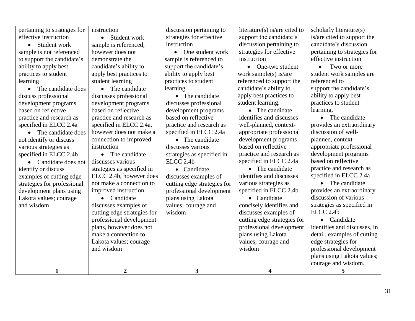| 1                            | $\boldsymbol{2}$                          | 3                           | 4                             | 5                            |
|------------------------------|-------------------------------------------|-----------------------------|-------------------------------|------------------------------|
|                              |                                           |                             |                               | courage and wisdom.          |
|                              |                                           |                             |                               | plans using Lakota values;   |
|                              | and wisdom                                |                             | wisdom                        | professional development     |
|                              | Lakota values; courage                    |                             | values; courage and           | edge strategies for          |
|                              | make a connection to                      |                             | plans using Lakota            | detail, examples of cutting  |
|                              | plans, however does not                   |                             | professional development      | identifies and discusses, in |
|                              | professional development                  |                             | cutting edge strategies for   | • Candidate                  |
|                              | cutting edge strategies for               | wisdom                      | discusses examples of         | ELCC <sub>2.4b</sub>         |
| and wisdom                   | discusses examples of                     | values; courage and         | concisely identifies and      | strategies as specified in   |
| Lakota values; courage       | • Candidate                               | plans using Lakota          | • Candidate                   | discussion of various        |
| development plans using      | improved instruction                      | professional development    | specified in ELCC 2.4b        | provides an extraordinary    |
| strategies for professional  | not make a connection to                  | cutting edge strategies for | various strategies as         | • The candidate              |
| examples of cutting edge     | ELCC 2.4b, however does                   | discusses examples of       | identifies and discusses      | specified in ELCC 2.4a       |
| identify or discuss          | strategies as specified in                | • Candidate                 | • The candidate               | practice and research as     |
| • Candidate does not         | discusses various                         | ELCC <sub>2.4b</sub>        | specified in ELCC 2.4a        | based on reflective          |
| specified in ELCC 2.4b       | • The candidate                           | strategies as specified in  | practice and research as      | development programs         |
| various strategies as        | instruction                               | discusses various           | based on reflective           | appropriate professional     |
| not identify or discuss      | connection to improved                    | • The candidate             | development programs          | planned, context-            |
| The candidate does           | however does not make a                   | specified in ELCC 2.4a      | appropriate professional      | discussion of well-          |
| specified in ELCC 2.4a       | specified in ELCC 2.4a,                   | practice and research as    | well-planned, context-        | provides an extraordinary    |
| practice and research as     | practice and research as                  | based on reflective         | identifies and discusses      | • The candidate              |
| based on reflective          | based on reflective                       | development programs        | • The candidate               | learning.                    |
| development programs         | development programs                      | discusses professional      | student learning.             | practices to student         |
| discuss professional         | discusses professional                    | • The candidate             | apply best practices to       | ability to apply best        |
| • The candidate does         | • The candidate                           | learning.                   | candidate's ability to        | support the candidate's      |
| learning                     | student learning                          | practices to student        | referenced to support the     | referenced to                |
| practices to student         | apply best practices to                   | ability to apply best       | work sample(s) is/are         | student work samples are     |
| ability to apply best        | candidate's ability to                    | support the candidate's     | • One-two student             | Two or more<br>$\bullet$     |
| to support the candidate's   | demonstrate the                           | sample is referenced to     | instruction                   | effective instruction        |
| sample is not referenced     | sample is referenced,<br>however does not | • One student work          | strategies for effective      | pertaining to strategies for |
| • Student work               | • Student work                            | instruction                 | discussion pertaining to      | candidate's discussion       |
| effective instruction        |                                           | strategies for effective    | support the candidate's       | is/are cited to support the  |
| pertaining to strategies for | instruction                               | discussion pertaining to    | literature(s) is/are cited to | scholarly literature(s)      |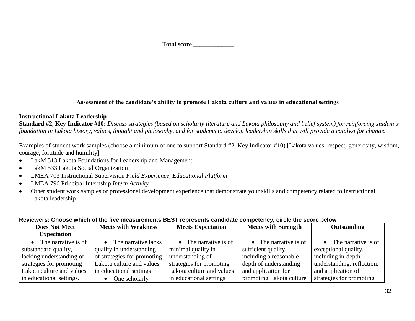#### **Assessment of the candidate's ability to promote Lakota culture and values in educational settings**

#### **Instructional Lakota Leadership**

**Standard #2, Key Indicator #10:** *Discuss strategies (based on scholarly literature and Lakota philosophy and belief system) for reinforcing student's foundation in Lakota history, values, thought and philosophy, and for students to develop leadership skills that will provide a catalyst for change.*

Examples of student work samples (choose a minimum of one to support Standard #2, Key Indicator #10) [Lakota values: respect, generosity, wisdom, courage, fortitude and humility]

- LakM 513 Lakota Foundations for Leadership and Management
- LakM 533 Lakota Social Organization
- LMEA 703 Instructional Supervision *Field Experience, Educational Platform*
- LMEA 796 Principal Internship *Intern Activity*
- Other student work samples or professional development experience that demonstrate your skills and competency related to instructional Lakota leadership

| <b>Does Not Meet</b>          | <b>Meets with Weakness</b>  | <b>Meets Expectation</b>      | <b>Meets with Strength</b>    | Outstanding                   |
|-------------------------------|-----------------------------|-------------------------------|-------------------------------|-------------------------------|
| <b>Expectation</b>            |                             |                               |                               |                               |
| $\bullet$ The narrative is of | • The narrative lacks       | $\bullet$ The narrative is of | $\bullet$ The narrative is of | $\bullet$ The narrative is of |
| substandard quality,          | quality in understanding    | minimal quality in            | sufficient quality,           | exceptional quality,          |
| lacking understanding of      | of strategies for promoting | understanding of              | including a reasonable        | including in-depth            |
| strategies for promoting      | Lakota culture and values   | strategies for promoting      | depth of understanding        | understanding, reflection,    |
| Lakota culture and values     | in educational settings     | Lakota culture and values     | and application for           | and application of            |
| in educational settings.      | One scholarly               | in educational settings       | promoting Lakota culture      | strategies for promoting      |

#### **Reviewers: Choose which of the five measurements BEST represents candidate competency, circle the score below**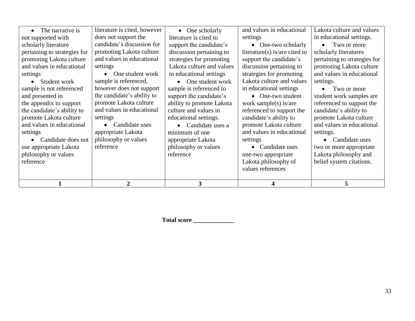| philosophy or values<br>reference                                                                                                                                                                                                                                                                                                                                                  | appropriate Lakota<br>philosophy or values                                                                                                                                                                | Candidate uses a<br>minimum of one<br>appropriate Lakota<br>philosophy or values<br>reference                                                                                                                                                                         | promote Lakota culture<br>and values in educational<br>settings<br>Candidate uses<br>one-two appropriate<br>Lakota philosophy of<br>values references                                                                                                                         | and values in educational<br>settings.<br>Candidate uses<br>two or more appropriate<br>Lakota philosophy and<br>belief system citations.                                                                                                                |
|------------------------------------------------------------------------------------------------------------------------------------------------------------------------------------------------------------------------------------------------------------------------------------------------------------------------------------------------------------------------------------|-----------------------------------------------------------------------------------------------------------------------------------------------------------------------------------------------------------|-----------------------------------------------------------------------------------------------------------------------------------------------------------------------------------------------------------------------------------------------------------------------|-------------------------------------------------------------------------------------------------------------------------------------------------------------------------------------------------------------------------------------------------------------------------------|---------------------------------------------------------------------------------------------------------------------------------------------------------------------------------------------------------------------------------------------------------|
| pertaining to strategies for<br>promoting Lakota culture<br>and values in educational<br>settings<br>settings<br>Student work<br>sample is not referenced<br>and presented in<br>the appendix to support<br>the candidate's ability to<br>promote Lakota culture<br>settings<br>and values in educational<br>settings<br>Candidate does not<br>reference<br>use appropriate Lakota | and values in educational<br>One student work<br>sample is referenced,<br>however does not support<br>the candidate's ability to<br>promote Lakota culture<br>and values in educational<br>Candidate uses | discussion pertaining to<br>strategies for promoting<br>Lakota culture and values<br>in educational settings<br>One student work<br>sample is referenced to<br>support the candidate's<br>ability to promote Lakota<br>culture and values in<br>educational settings. | literature(s) is/are cited to<br>support the candidate's<br>discussion pertaining to<br>strategies for promoting<br>Lakota culture and values<br>in educational settings<br>• One-two student<br>work sample(s) is/are<br>referenced to support the<br>candidate's ability to | scholarly literatures<br>pertaining to strategies for<br>promoting Lakota culture<br>and values in educational<br>settings.<br>Two or more<br>student work samples are<br>referenced to support the<br>candidate's ability to<br>promote Lakota culture |
| scholarly literature                                                                                                                                                                                                                                                                                                                                                               | candidate's discussion for<br>promoting Lakota culture                                                                                                                                                    | support the candidate's                                                                                                                                                                                                                                               | • One-two scholarly                                                                                                                                                                                                                                                           | Two or more                                                                                                                                                                                                                                             |
| The narrative is<br>not supported with                                                                                                                                                                                                                                                                                                                                             | literature is cited, however<br>does not support the                                                                                                                                                      | One scholarly<br>$\bullet$<br>literature is cited to                                                                                                                                                                                                                  | and values in educational<br>settings                                                                                                                                                                                                                                         | Lakota culture and values<br>in educational settings.                                                                                                                                                                                                   |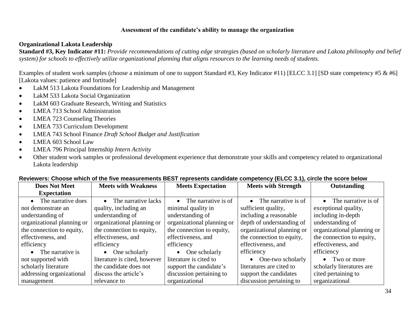#### **Assessment of the candidate's ability to manage the organization**

#### **Organizational Lakota Leadership**

**Standard #3, Key Indicator #11:** *Provide recommendations of cutting edge strategies (based on scholarly literature and Lakota philosophy and belief system) for schools to effectively utilize organizational planning that aligns resources to the learning needs of students.*

Examples of student work samples (choose a minimum of one to support Standard #3, Key Indicator #11) [ELCC 3.1] [SD state competency #5 & #6] [Lakota values: patience and fortitude]

- LakM 513 Lakota Foundations for Leadership and Management
- LakM 533 Lakota Social Organization
- LakM 603 Graduate Research, Writing and Statistics
- LMEA 713 School Administration
- LMEA 723 Counseling Theories
- LMEA 733 Curriculum Development
- LMEA 743 School Finance *Draft School Budget and Justification*
- LMEA 603 School Law
- LMEA 796 Principal Internship *Intern Activity*
- Other student work samples or professional development experience that demonstrate your skills and competency related to organizational Lakota leadership

| <b>Does Not Meet</b>       | <b>Meets with Weakness</b>   | <b>Meets Expectation</b>         | $\frac{1}{2}$<br><b>Meets with Strength</b> | <b>Outstanding</b>               |
|----------------------------|------------------------------|----------------------------------|---------------------------------------------|----------------------------------|
| <b>Expectation</b>         |                              |                                  |                                             |                                  |
| The narrative does         | The narrative lacks          | The narrative is of<br>$\bullet$ | The narrative is of<br>$\bullet$            | The narrative is of<br>$\bullet$ |
| not demonstrate an         | quality, including an        | minimal quality in               | sufficient quality,                         | exceptional quality,             |
| understanding of           | understanding of             | understanding of                 | including a reasonable                      | including in-depth               |
| organizational planning or | organizational planning or   | organizational planning or       | depth of understanding of                   | understanding of                 |
| the connection to equity,  | the connection to equity,    | the connection to equity,        | organizational planning or                  | organizational planning or       |
| effectiveness, and         | effectiveness, and           | effectiveness, and               | the connection to equity,                   | the connection to equity,        |
| efficiency                 | efficiency                   | efficiency                       | effectiveness, and                          | effectiveness, and               |
| • The narrative is         | $\bullet$ One scholarly      | One scholarly<br>$\bullet$       | efficiency                                  | efficiency                       |
| not supported with         | literature is cited, however | literature is cited to           | One-two scholarly<br>$\bullet$              | • Two or more                    |
| scholarly literature       | the candidate does not       | support the candidate's          | literatures are cited to                    | scholarly literatures are        |
| addressing organizational  | discuss the article's        | discussion pertaining to         | support the candidates                      | cited pertaining to              |
| management                 | relevance to                 | organizational                   | discussion pertaining to                    | organizational                   |

#### **Reviewers: Choose which of the five measurements BEST represents candidate competency (ELCC 3.1), circle the score below**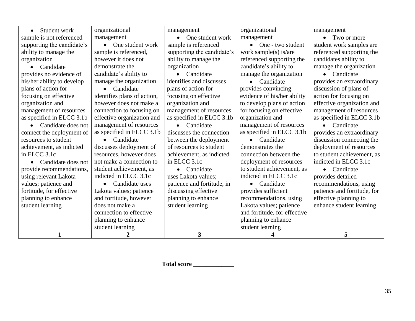| Student work<br>$\bullet$       | organizational              | management                 | organizational               | management                  |
|---------------------------------|-----------------------------|----------------------------|------------------------------|-----------------------------|
| sample is not referenced        | management                  | One student work           | management                   | Two or more<br>$\bullet$    |
| supporting the candidate's      | • One student work          | sample is referenced       | • One - two student          | student work samples are    |
| ability to manage the           | sample is referenced,       | supporting the candidate's | work sample(s) is/are        | referenced supporting the   |
| organization                    | however it does not         | ability to manage the      | referenced supporting the    | candidates ability to       |
| Candidate                       | demonstrate the             | organization               | candidate's ability to       | manage the organization     |
| provides no evidence of         | candidate's ability to      | • Candidate                | manage the organization      | • Candidate                 |
| his/her ability to develop      | manage the organization     | identifies and discusses   | Candidate<br>$\bullet$       | provides an extraordinary   |
| plans of action for             | Candidate<br>$\bullet$      | plans of action for        | provides convincing          | discussion of plans of      |
| focusing on effective           | identifies plans of action, | focusing on effective      | evidence of his/her ability  | action for focusing on      |
| organization and                | however does not make a     | organization and           | to develop plans of action   | effective organization and  |
| management of resources         | connection to focusing on   | management of resources    | for focusing on effective    | management of resources     |
| as specified in ELCC 3.1b       | effective organization and  | as specified in ELCC 3.1b  | organization and             | as specified in ELCC 3.1b   |
| Candidate does not<br>$\bullet$ | management of resources     | • Candidate                | management of resources      | • Candidate                 |
| connect the deployment of       | as specified in ELCC 3.1b   | discusses the connection   | as specified in ELCC 3.1b    | provides an extraordinary   |
| resources to student            | Candidate<br>$\bullet$      | between the deployment     | Candidate<br>$\bullet$       | discussion connecting the   |
| achievement, as indicted        | discusses deployment of     | of resources to student    | demonstrates the             | deployment of resources     |
| in ELCC 3.1c                    | resources, however does     | achievement, as indicted   | connection between the       | to student achievement, as  |
| Candidate does not              | not make a connection to    | in ELCC 3.1c               | deployment of resources      | indicted in ELCC 3.1c       |
| provide recommendations,        | student achievement, as     | $\bullet$ Candidate        | to student achievement, as   | $\bullet$ Candidate         |
| using relevant Lakota           | indicted in ELCC 3.1c       | uses Lakota values;        | indicted in ELCC 3.1c        | provides detailed           |
| values; patience and            | Candidate uses<br>$\bullet$ | patience and fortitude, in | Candidate<br>$\bullet$       | recommendations, using      |
| fortitude, for effective        | Lakota values; patience     | discussing effective       | provides sufficient          | patience and fortitude, for |
| planning to enhance             | and fortitude, however      | planning to enhance        | recommendations, using       | effective planning to       |
| student learning                | does not make a             | student learning           | Lakota values; patience      | enhance student learning    |
|                                 | connection to effective     |                            | and fortitude, for effective |                             |
|                                 | planning to enhance         |                            | planning to enhance          |                             |
|                                 | student learning            |                            | student learning             |                             |
| $\mathbf{1}$                    | $\overline{2}$              | 3                          |                              | 5                           |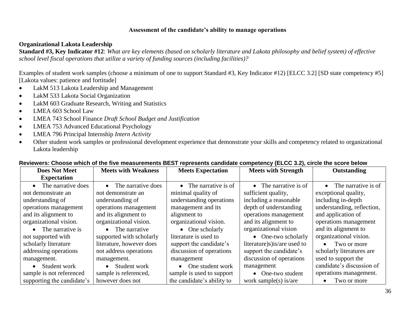#### **Assessment of the candidate's ability to manage operations**

#### **Organizational Lakota Leadership**

**Standard #3, Key Indicator #12**: *What are key elements (based on scholarly literature and Lakota philosophy and belief system) of effective school level fiscal operations that utilize a variety of funding sources (including facilities)?*

Examples of student work samples (choose a minimum of one to support Standard #3, Key Indicator #12) [ELCC 3.2] [SD state competency #5] [Lakota values: patience and fortitude]

- LakM 513 Lakota Leadership and Management
- LakM 533 Lakota Social Organization
- LakM 603 Graduate Research, Writing and Statistics
- LMEA 603 School Law
- LMEA 743 School Finance *Draft School Budget and Justification*
- LMEA 753 Advanced Educational Psychology
- LMEA 796 Principal Internship *Intern Activity*
- Other student work samples or professional development experience that demonstrate your skills and competency related to organizational Lakota leadership

| <b>Does Not Meet</b>       | <b>Meets with Weakness</b> | <b>Meets Expectation</b>      | <b>Meets with Strength</b>    | Outstanding                   |
|----------------------------|----------------------------|-------------------------------|-------------------------------|-------------------------------|
| <b>Expectation</b>         |                            |                               |                               |                               |
| • The narrative does       | • The narrative does       | $\bullet$ The narrative is of | $\bullet$ The narrative is of | $\bullet$ The narrative is of |
| not demonstrate an         | not demonstrate an         | minimal quality of            | sufficient quality,           | exceptional quality,          |
| understanding of           | understanding of           | understanding operations      | including a reasonable        | including in-depth            |
| operations management      | operations management      | management and its            | depth of understanding        | understanding, reflection,    |
| and its alignment to       | and its alignment to       | alignment to                  | operations management         | and application of            |
| organizational vision.     | organizational vision.     | organizational vision.        | and its alignment to          | operations management         |
| • The narrative is         | • The narrative            | $\bullet$ One scholarly       | organizational vision         | and its alignment to          |
| not supported with         | supported with scholarly   | literature is used to         | • One-two scholarly           | organizational vision.        |
| scholarly literature       | literature, however does   | support the candidate's       | literature)s) is/are used to  | Two or more<br>$\bullet$      |
| addressing operations      | not address operations     | discussion of operations      | support the candidate's       | scholarly literatures are     |
| management.                | management.                | management                    | discussion of operations      | used to support the           |
| • Student work             | • Student work             | • One student work            | management                    | candidate's discussion of     |
| sample is not referenced   | sample is referenced,      | sample is used to support     | • One-two student             | operations management.        |
| supporting the candidate's | however does not           | the candidate's ability to    | work sample(s) is/are         | Two or more<br>$\bullet$      |

#### **Reviewers: Choose which of the five measurements BEST represents candidate competency (ELCC 3.2), circle the score below**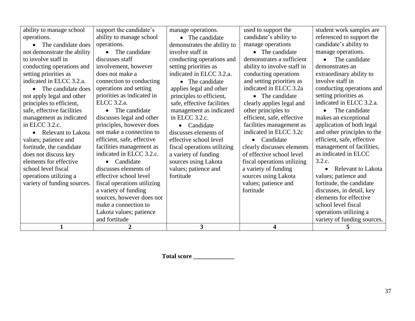| ability to manage school    | support the candidate's     | manage operations.          | used to support the         | student work samples are    |
|-----------------------------|-----------------------------|-----------------------------|-----------------------------|-----------------------------|
| operations.                 | ability to manage school    | • The candidate             | candidate's ability to      | referenced to support the   |
| • The candidate does        | operations.                 | demonstrates the ability to | manage operations           | candidate's ability to      |
| not demonstrate the ability | The candidate<br>$\bullet$  | involve staff in            | • The candidate             | manage operations.          |
| to involve staff in         | discusses staff             | conducting operations and   | demonstrates a sufficient   | The candidate               |
| conducting operations and   | involvement, however        | setting priorities as       | ability to involve staff in | demonstrates an             |
| setting priorities as       | does not make a             | indicated in ELCC 3.2.a.    | conducting operations       | extraordinary ability to    |
| indicated in ELCC 3.2.a.    | connection to conducting    | • The candidate             | and setting priorities as   | involve staff in            |
| • The candidate does        | operations and setting      | applies legal and other     | indicated in ELCC 3.2a      | conducting operations and   |
| not apply legal and other   | priorities as indicated in  | principles to efficient,    | The candidate<br>$\bullet$  | setting priorities as       |
| principles to efficient,    | ELCC 3.2.a.                 | safe, effective facilities  | clearly applies legal and   | indicated in ELCC 3.2.a.    |
| safe, effective facilities  | The candidate<br>$\bullet$  | management as indicated     | other principles to         | The candidate               |
| management as indicated     | discusses legal and other   | in ELCC 3.2.c.              | efficient, safe, effective  | makes an exceptional        |
| in ELCC 3.2.c.              | principles, however does    | • Candidate                 | facilities management as    | application of both legal   |
| • Relevant to Lakota        | not make a connection to    | discusses elements of       | indicated in ELCC 3.2c      | and other principles to the |
| values; patience and        | efficient, safe, effective  | effective school level      | Candidate<br>$\bullet$      | efficient, safe, effective  |
| fortitude, the candidate    | facilities management as    | fiscal operations utilizing | clearly discusses elements  | management of facilities,   |
| does not discuss key        | indicated in ELCC 3.2.c.    | a variety of funding        | of effective school level   | as indicated in ELCC        |
| elements for effective      | Candidate                   | sources using Lakota        | fiscal operations utilizing | 3.2.c.                      |
| school level fiscal         | discusses elements of       | values; patience and        | a variety of funding        | Relevant to Lakota          |
| operations utilizing a      | effective school level      | fortitude                   | sources using Lakota        | values; patience and        |
| variety of funding sources. | fiscal operations utilizing |                             | values; patience and        | fortitude, the candidate    |
|                             | a variety of funding        |                             | fortitude                   | discusses, in detail, key   |
|                             | sources, however does not   |                             |                             | elements for effective      |
|                             | make a connection to        |                             |                             | school level fiscal         |
|                             | Lakota values; patience     |                             |                             | operations utilizing a      |
|                             | and fortitude               |                             |                             | variety of funding sources. |
| $\mathbf{1}$                | $\overline{2}$              | 3                           | $\overline{\mathbf{4}}$     | 5                           |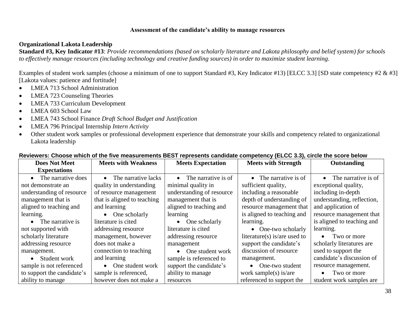#### **Assessment of the candidate's ability to manage resources**

#### **Organizational Lakota Leadership**

**Standard #3, Key Indicator #13**: *Provide recommendations (based on scholarly literature and Lakota philosophy and belief system) for schools to effectively manage resources (including technology and creative funding sources) in order to maximize student learning.*

Examples of student work samples (choose a minimum of one to support Standard #3, Key Indicator #13) [ELCC 3.3] [SD state competency #2 & #3] [Lakota values: patience and fortitude]

- LMEA 713 School Administration
- LMEA 723 Counseling Theories
- LMEA 733 Curriculum Development
- LMEA 603 School Law
- LMEA 743 School Finance *Draft School Budget and Justification*
- LMEA 796 Principal Internship *Intern Activity*
- Other student work samples or professional development experience that demonstrate your skills and competency related to organizational Lakota leadership

| <b>Does Not Meet</b>       | <b>Meets with Weakness</b>       | <b>Meets Expectation</b>         | <b>Meets with Strength</b>   | Outstanding                   |
|----------------------------|----------------------------------|----------------------------------|------------------------------|-------------------------------|
| <b>Expectations</b>        |                                  |                                  |                              |                               |
| The narrative does         | The narrative lacks<br>$\bullet$ | The narrative is of<br>$\bullet$ | • The narrative is of        | $\bullet$ The narrative is of |
| not demonstrate an         | quality in understanding         | minimal quality in               | sufficient quality,          | exceptional quality,          |
| understanding of resource  | of resource management           | understanding of resource        | including a reasonable       | including in-depth            |
| management that is         | that is aligned to teaching      | management that is               | depth of understanding of    | understanding, reflection,    |
| aligned to teaching and    | and learning                     | aligned to teaching and          | resource management that     | and application of            |
| learning.                  | $\bullet$ One scholarly          | learning                         | is aligned to teaching and   | resource management that      |
| $\bullet$ The narrative is | literature is cited              | $\bullet$ One scholarly          | learning.                    | is aligned to teaching and    |
| not supported with         | addressing resource              | literature is cited              | • One-two scholarly          | learning.                     |
| scholarly literature       | management, however              | addressing resource              | literature(s) is/are used to | Two or more<br>$\bullet$      |
| addressing resource        | does not make a                  | management                       | support the candidate's      | scholarly literatures are     |
| management.                | connection to teaching           | • One student work               | discussion of resource       | used to support the           |
| • Student work             | and learning                     | sample is referenced to          | management.                  | candidate's discussion of     |
| sample is not referenced   | One student work<br>$\bullet$    | support the candidate's          | One-two student              | resource management.          |
| to support the candidate's | sample is referenced,            | ability to manage                | work sample(s) is/are        | Two or more<br>$\bullet$      |
| ability to manage          | however does not make a          | resources                        | referenced to support the    | student work samples are      |

#### **Reviewers: Choose which of the five measurements BEST represents candidate competency (ELCC 3.3), circle the score below**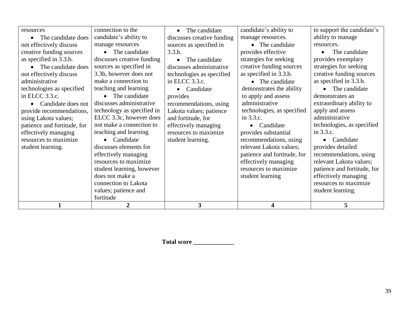| resources                   | connection to the          | The candidate<br>$\bullet$ | candidate's ability to      | to support the candidate's  |
|-----------------------------|----------------------------|----------------------------|-----------------------------|-----------------------------|
| The candidate does          | candidate's ability to     | discusses creative funding | manage resources.           | ability to manage           |
| not effectively discuss     | manage resources           | sources as specified in    | • The candidate             | resources.                  |
|                             |                            |                            |                             |                             |
| creative funding sources    | The candidate              | 3.3.b.                     | provides effective          | The candidate               |
| as specified in 3.3.b.      | discusses creative funding | The candidate              | strategies for seeking      | provides exemplary          |
| The candidate does          | sources as specified in    | discusses administrative   | creative funding sources    | strategies for seeking      |
| not effectively discuss     | 3.3b, however does not     | technologies as specified  | as specified in 3.3.b.      | creative funding sources    |
| administrative              | make a connection to       | in ELCC 3.3.c.             | • The candidate             | as specified in 3.3.b.      |
| technologies as specified   | teaching and learning      | Candidate                  | demonstrates the ability    | The candidate               |
| in ELCC 3.3.c.              | The candidate              | provides                   | to apply and assess         | demonstrates an             |
| Candidate does not          | discusses administrative   | recommendations, using     | administrative              | extraordinary ability to    |
| provide recommendations,    | technology as specified in | Lakota values; patience    | technologies, as specified  | apply and assess            |
| using Lakota values;        | ELCC 3.3c, however does    | and fortitude, for         | in 3.3.c.                   | administrative              |
| patience and fortitude, for | not make a connection to   | effectively managing       | Candidate                   | technologies, as specified  |
| effectively managing        | teaching and learning      | resources to maximize      | provides substantial        | in 3.3.c.                   |
| resources to maximize       | Candidate                  | student learning.          | recommendations, using      | Candidate                   |
| student learning.           | discusses elements for     |                            | relevant Lakota values;     | provides detailed           |
|                             | effectively managing       |                            | patience and fortitude, for | recommendations, using      |
|                             | resources to maximize      |                            | effectively managing        | relevant Lakota values;     |
|                             | student learning, however  |                            | resources to maximize.      | patience and fortitude, for |
|                             | does not make a            |                            | student learning            | effectively managing        |
|                             | connection to Lakota       |                            |                             | resources to maximize.      |
|                             | values; patience and       |                            |                             | student learning.           |
|                             | fortitude                  |                            |                             |                             |
|                             | 2                          | 3                          | 4                           | 5                           |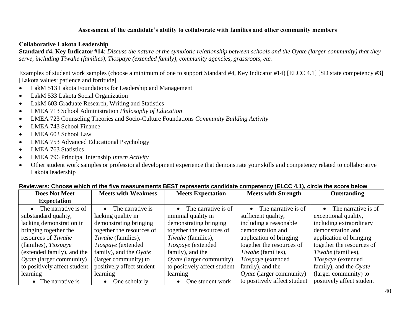#### **Assessment of the candidate's ability to collaborate with families and other community members**

#### **Collaborative Lakota Leadership**

**Standard #4, Key Indicator #14**: *Discuss the nature of the symbiotic relationship between schools and the Oyate (larger community) that they serve, including Tiwahe (families), Tiospaye (extended family), community agencies, grassroots, etc.*

Examples of student work samples (choose a minimum of one to support Standard #4, Key Indicator #14) [ELCC 4.1] [SD state competency #3] [Lakota values: patience and fortitude]

- LakM 513 Lakota Foundations for Leadership and Management
- LakM 533 Lakota Social Organization
- LakM 603 Graduate Research, Writing and Statistics
- LMEA 713 School Administration *Philosophy of Education*
- LMEA 723 Counseling Theories and Socio-Culture Foundations *Community Building Activity*
- LMEA 743 School Finance
- LMEA 603 School Law
- LMEA 753 Advanced Educational Psychology
- LMEA 763 Statistics
- LMEA 796 Principal Internship *Intern Activity*
- Other student work samples or professional development experience that demonstrate your skills and competency related to collaborative Lakota leadership

| <b>Does Not Meet</b>            | <b>Meets with Weakness</b>    | <b>Meets Expectation</b>         | <b>Meets with Strength</b>       | <b>Outstanding</b>               |
|---------------------------------|-------------------------------|----------------------------------|----------------------------------|----------------------------------|
| <b>Expectation</b>              |                               |                                  |                                  |                                  |
| The narrative is of             | The narrative is<br>$\bullet$ | The narrative is of<br>$\bullet$ | The narrative is of<br>$\bullet$ | $\bullet$ The narrative is of    |
| substandard quality,            | lacking quality in            | minimal quality in               | sufficient quality,              | exceptional quality,             |
| lacking demonstration in        | demonstrating bringing        | demonstrating bringing           | including a reasonable           | including extraordinary          |
| bringing together the           | together the resources of     | together the resources of        | demonstration and                | demonstration and                |
| resources of Tiwahe             | Tiwahe (families),            | Tiwahe (families),               | application of bringing          | application of bringing          |
| (families), Tiospaye            | Tiospaye (extended            | Tiospaye (extended               | together the resources of        | together the resources of        |
| (extended family), and the      | family), and the $O$ yate     | family), and the                 | Tiwahe (families),               | Tiwahe (families),               |
| <i>Oyate</i> (larger community) | (larger community) to         | <i>Oyate</i> (larger community)  | Tiospaye (extended               | Tiospaye (extended               |
| to positively affect student    | positively affect student     | to positively affect student     | family), and the                 | family), and the $O$ <i>vate</i> |
| learning                        | learning                      | learning                         | <i>Oyate</i> (larger community)  | (larger community) to            |
| • The narrative is              | One scholarly<br>$\bullet$    | One student work<br>$\bullet$    | to positively affect student     | positively affect student        |

#### **Reviewers: Choose which of the five measurements BEST represents candidate competency (ELCC 4.1), circle the score below**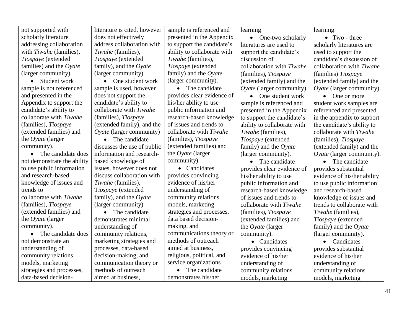| scholarly literature<br>does not effectively<br>presented in the Appendix<br>$\bullet$ Two - three<br>• One-two scholarly<br>addressing collaboration<br>address collaboration with<br>to support the candidate's<br>scholarly literatures are<br>literatures are used to<br>ability to collaborate with<br>with <i>Tiwahe</i> (families),<br>Tiwahe (families),<br>used to support the<br>support the candidate's<br>Tiospaye (extended<br>Tiospaye (extended<br>Tiwahe (families),<br>discussion of<br>candidate's discussion of<br>family), and the Oyate<br>families) and the $O$ <i>yate</i><br>Tiospaye (extended<br>collaboration with Tiwahe<br>collaboration with Tiwahe<br>(larger community)<br>family) and the $O$ yate<br>(larger community).<br>(families), Tiospaye<br>(families) Tiospaye<br>(larger community).<br>• Student work<br>• One student work<br>(extended family) and the<br>(extended family) and the<br>• The candidate<br>sample is not referenced<br>sample is used, however<br>Oyate (larger community).<br>Oyate (larger community).<br>provides clear evidence of<br>and presented in the<br>does not support the<br>One student work<br>One or more<br>Appendix to support the<br>candidate's ability to<br>his/her ability to use<br>sample is referenced and<br>student work samples are<br>public information and<br>candidate's ability to<br>collaborate with Tiwahe<br>presented in the Appendix<br>referenced and presented<br>collaborate with Tiwahe<br>(families), Tiospaye<br>research-based knowledge<br>to support the candidate's<br>in the appendix to support<br>(extended family), and the<br>of issues and trends to<br>(families), Tiospaye<br>ability to collaborate with<br>the candidate's ability to<br>(extended families) and<br>collaborate with Tiwahe<br>Oyate (larger community)<br>collaborate with Tiwahe<br>Tiwahe (families),<br>(families), Tiospaye<br>the <i>Oyate</i> (larger<br>• The candidate<br>Tiospaye (extended<br>(families), Tiospaye<br>(extended families) and<br>community).<br>discusses the use of public<br>(extended family) and the<br>family) and the $O$ <i>yate</i><br>information and research-<br>the $O$ <i>yate</i> (larger<br>• The candidate does<br>(larger community).<br>Oyate (larger community).<br>community).<br>not demonstrate the ability<br>based knowledge of<br>• The candidate<br>• The candidate<br>to use public information<br>issues, however does not<br>• Candidates<br>provides clear evidence of<br>provides substantial<br>and research-based<br>discuss collaboration with<br>provides convincing<br>his/her ability to use<br>evidence of his/her ability<br>knowledge of issues and<br>Tiwahe (families),<br>evidence of his/her<br>public information and<br>to use public information<br>Tiospaye (extended<br>understanding of<br>research-based knowledge<br>trends to<br>and research-based<br>collaborate with Tiwahe<br>family), and the $O$ <i>yate</i><br>community relations<br>of issues and trends to<br>knowledge of issues and<br>(families), Tiospaye<br>(larger community)<br>models, marketing<br>collaborate with Tiwahe<br>trends to collaborate with<br>strategies and processes,<br>(extended families) and<br>• The candidate<br>(families), Tiospaye<br>Tiwahe (families),<br>data based decision-<br>the Oyate (larger<br>demonstrates minimal<br>(extended families) and<br>Tiospaye (extended<br>making, and<br>community).<br>understanding of<br>the Oyate (larger<br>family) and the Oyate<br>communications theory or<br>community relations,<br>The candidate does<br>(larger community).<br>community).<br>methods of outreach<br>marketing strategies and<br>not demonstrate an<br>• Candidates<br>Candidates<br>aimed at business,<br>processes, data-based<br>understanding of<br>provides convincing<br>provides substantial<br>religious, political, and<br>decision-making, and<br>community relations<br>evidence of his/her<br>evidence of his/her<br>service organizations<br>models, marketing<br>communication theory or<br>understanding of<br>understanding of | not supported with        | literature is cited, however | sample is referenced and | learning            | learning            |
|------------------------------------------------------------------------------------------------------------------------------------------------------------------------------------------------------------------------------------------------------------------------------------------------------------------------------------------------------------------------------------------------------------------------------------------------------------------------------------------------------------------------------------------------------------------------------------------------------------------------------------------------------------------------------------------------------------------------------------------------------------------------------------------------------------------------------------------------------------------------------------------------------------------------------------------------------------------------------------------------------------------------------------------------------------------------------------------------------------------------------------------------------------------------------------------------------------------------------------------------------------------------------------------------------------------------------------------------------------------------------------------------------------------------------------------------------------------------------------------------------------------------------------------------------------------------------------------------------------------------------------------------------------------------------------------------------------------------------------------------------------------------------------------------------------------------------------------------------------------------------------------------------------------------------------------------------------------------------------------------------------------------------------------------------------------------------------------------------------------------------------------------------------------------------------------------------------------------------------------------------------------------------------------------------------------------------------------------------------------------------------------------------------------------------------------------------------------------------------------------------------------------------------------------------------------------------------------------------------------------------------------------------------------------------------------------------------------------------------------------------------------------------------------------------------------------------------------------------------------------------------------------------------------------------------------------------------------------------------------------------------------------------------------------------------------------------------------------------------------------------------------------------------------------------------------------------------------------------------------------------------------------------------------------------------------------------------------------------------------------------------------------------------------------------------------------------------------------------------------------------------------------------------------------------------------------------------------------------------------------------------------------------------------------------------------------------------------------------------------------------------------------------------------------------------------------------------------------------------------------------------------------------------------------------------------------------------------------------------------------------------------------------------------------------------------------------------------------------------------------------------------|---------------------------|------------------------------|--------------------------|---------------------|---------------------|
|                                                                                                                                                                                                                                                                                                                                                                                                                                                                                                                                                                                                                                                                                                                                                                                                                                                                                                                                                                                                                                                                                                                                                                                                                                                                                                                                                                                                                                                                                                                                                                                                                                                                                                                                                                                                                                                                                                                                                                                                                                                                                                                                                                                                                                                                                                                                                                                                                                                                                                                                                                                                                                                                                                                                                                                                                                                                                                                                                                                                                                                                                                                                                                                                                                                                                                                                                                                                                                                                                                                                                                                                                                                                                                                                                                                                                                                                                                                                                                                                                                                                                                                                          |                           |                              |                          |                     |                     |
|                                                                                                                                                                                                                                                                                                                                                                                                                                                                                                                                                                                                                                                                                                                                                                                                                                                                                                                                                                                                                                                                                                                                                                                                                                                                                                                                                                                                                                                                                                                                                                                                                                                                                                                                                                                                                                                                                                                                                                                                                                                                                                                                                                                                                                                                                                                                                                                                                                                                                                                                                                                                                                                                                                                                                                                                                                                                                                                                                                                                                                                                                                                                                                                                                                                                                                                                                                                                                                                                                                                                                                                                                                                                                                                                                                                                                                                                                                                                                                                                                                                                                                                                          |                           |                              |                          |                     |                     |
|                                                                                                                                                                                                                                                                                                                                                                                                                                                                                                                                                                                                                                                                                                                                                                                                                                                                                                                                                                                                                                                                                                                                                                                                                                                                                                                                                                                                                                                                                                                                                                                                                                                                                                                                                                                                                                                                                                                                                                                                                                                                                                                                                                                                                                                                                                                                                                                                                                                                                                                                                                                                                                                                                                                                                                                                                                                                                                                                                                                                                                                                                                                                                                                                                                                                                                                                                                                                                                                                                                                                                                                                                                                                                                                                                                                                                                                                                                                                                                                                                                                                                                                                          |                           |                              |                          |                     |                     |
|                                                                                                                                                                                                                                                                                                                                                                                                                                                                                                                                                                                                                                                                                                                                                                                                                                                                                                                                                                                                                                                                                                                                                                                                                                                                                                                                                                                                                                                                                                                                                                                                                                                                                                                                                                                                                                                                                                                                                                                                                                                                                                                                                                                                                                                                                                                                                                                                                                                                                                                                                                                                                                                                                                                                                                                                                                                                                                                                                                                                                                                                                                                                                                                                                                                                                                                                                                                                                                                                                                                                                                                                                                                                                                                                                                                                                                                                                                                                                                                                                                                                                                                                          |                           |                              |                          |                     |                     |
|                                                                                                                                                                                                                                                                                                                                                                                                                                                                                                                                                                                                                                                                                                                                                                                                                                                                                                                                                                                                                                                                                                                                                                                                                                                                                                                                                                                                                                                                                                                                                                                                                                                                                                                                                                                                                                                                                                                                                                                                                                                                                                                                                                                                                                                                                                                                                                                                                                                                                                                                                                                                                                                                                                                                                                                                                                                                                                                                                                                                                                                                                                                                                                                                                                                                                                                                                                                                                                                                                                                                                                                                                                                                                                                                                                                                                                                                                                                                                                                                                                                                                                                                          |                           |                              |                          |                     |                     |
|                                                                                                                                                                                                                                                                                                                                                                                                                                                                                                                                                                                                                                                                                                                                                                                                                                                                                                                                                                                                                                                                                                                                                                                                                                                                                                                                                                                                                                                                                                                                                                                                                                                                                                                                                                                                                                                                                                                                                                                                                                                                                                                                                                                                                                                                                                                                                                                                                                                                                                                                                                                                                                                                                                                                                                                                                                                                                                                                                                                                                                                                                                                                                                                                                                                                                                                                                                                                                                                                                                                                                                                                                                                                                                                                                                                                                                                                                                                                                                                                                                                                                                                                          |                           |                              |                          |                     |                     |
|                                                                                                                                                                                                                                                                                                                                                                                                                                                                                                                                                                                                                                                                                                                                                                                                                                                                                                                                                                                                                                                                                                                                                                                                                                                                                                                                                                                                                                                                                                                                                                                                                                                                                                                                                                                                                                                                                                                                                                                                                                                                                                                                                                                                                                                                                                                                                                                                                                                                                                                                                                                                                                                                                                                                                                                                                                                                                                                                                                                                                                                                                                                                                                                                                                                                                                                                                                                                                                                                                                                                                                                                                                                                                                                                                                                                                                                                                                                                                                                                                                                                                                                                          |                           |                              |                          |                     |                     |
|                                                                                                                                                                                                                                                                                                                                                                                                                                                                                                                                                                                                                                                                                                                                                                                                                                                                                                                                                                                                                                                                                                                                                                                                                                                                                                                                                                                                                                                                                                                                                                                                                                                                                                                                                                                                                                                                                                                                                                                                                                                                                                                                                                                                                                                                                                                                                                                                                                                                                                                                                                                                                                                                                                                                                                                                                                                                                                                                                                                                                                                                                                                                                                                                                                                                                                                                                                                                                                                                                                                                                                                                                                                                                                                                                                                                                                                                                                                                                                                                                                                                                                                                          |                           |                              |                          |                     |                     |
|                                                                                                                                                                                                                                                                                                                                                                                                                                                                                                                                                                                                                                                                                                                                                                                                                                                                                                                                                                                                                                                                                                                                                                                                                                                                                                                                                                                                                                                                                                                                                                                                                                                                                                                                                                                                                                                                                                                                                                                                                                                                                                                                                                                                                                                                                                                                                                                                                                                                                                                                                                                                                                                                                                                                                                                                                                                                                                                                                                                                                                                                                                                                                                                                                                                                                                                                                                                                                                                                                                                                                                                                                                                                                                                                                                                                                                                                                                                                                                                                                                                                                                                                          |                           |                              |                          |                     |                     |
|                                                                                                                                                                                                                                                                                                                                                                                                                                                                                                                                                                                                                                                                                                                                                                                                                                                                                                                                                                                                                                                                                                                                                                                                                                                                                                                                                                                                                                                                                                                                                                                                                                                                                                                                                                                                                                                                                                                                                                                                                                                                                                                                                                                                                                                                                                                                                                                                                                                                                                                                                                                                                                                                                                                                                                                                                                                                                                                                                                                                                                                                                                                                                                                                                                                                                                                                                                                                                                                                                                                                                                                                                                                                                                                                                                                                                                                                                                                                                                                                                                                                                                                                          |                           |                              |                          |                     |                     |
|                                                                                                                                                                                                                                                                                                                                                                                                                                                                                                                                                                                                                                                                                                                                                                                                                                                                                                                                                                                                                                                                                                                                                                                                                                                                                                                                                                                                                                                                                                                                                                                                                                                                                                                                                                                                                                                                                                                                                                                                                                                                                                                                                                                                                                                                                                                                                                                                                                                                                                                                                                                                                                                                                                                                                                                                                                                                                                                                                                                                                                                                                                                                                                                                                                                                                                                                                                                                                                                                                                                                                                                                                                                                                                                                                                                                                                                                                                                                                                                                                                                                                                                                          |                           |                              |                          |                     |                     |
|                                                                                                                                                                                                                                                                                                                                                                                                                                                                                                                                                                                                                                                                                                                                                                                                                                                                                                                                                                                                                                                                                                                                                                                                                                                                                                                                                                                                                                                                                                                                                                                                                                                                                                                                                                                                                                                                                                                                                                                                                                                                                                                                                                                                                                                                                                                                                                                                                                                                                                                                                                                                                                                                                                                                                                                                                                                                                                                                                                                                                                                                                                                                                                                                                                                                                                                                                                                                                                                                                                                                                                                                                                                                                                                                                                                                                                                                                                                                                                                                                                                                                                                                          |                           |                              |                          |                     |                     |
|                                                                                                                                                                                                                                                                                                                                                                                                                                                                                                                                                                                                                                                                                                                                                                                                                                                                                                                                                                                                                                                                                                                                                                                                                                                                                                                                                                                                                                                                                                                                                                                                                                                                                                                                                                                                                                                                                                                                                                                                                                                                                                                                                                                                                                                                                                                                                                                                                                                                                                                                                                                                                                                                                                                                                                                                                                                                                                                                                                                                                                                                                                                                                                                                                                                                                                                                                                                                                                                                                                                                                                                                                                                                                                                                                                                                                                                                                                                                                                                                                                                                                                                                          |                           |                              |                          |                     |                     |
|                                                                                                                                                                                                                                                                                                                                                                                                                                                                                                                                                                                                                                                                                                                                                                                                                                                                                                                                                                                                                                                                                                                                                                                                                                                                                                                                                                                                                                                                                                                                                                                                                                                                                                                                                                                                                                                                                                                                                                                                                                                                                                                                                                                                                                                                                                                                                                                                                                                                                                                                                                                                                                                                                                                                                                                                                                                                                                                                                                                                                                                                                                                                                                                                                                                                                                                                                                                                                                                                                                                                                                                                                                                                                                                                                                                                                                                                                                                                                                                                                                                                                                                                          |                           |                              |                          |                     |                     |
|                                                                                                                                                                                                                                                                                                                                                                                                                                                                                                                                                                                                                                                                                                                                                                                                                                                                                                                                                                                                                                                                                                                                                                                                                                                                                                                                                                                                                                                                                                                                                                                                                                                                                                                                                                                                                                                                                                                                                                                                                                                                                                                                                                                                                                                                                                                                                                                                                                                                                                                                                                                                                                                                                                                                                                                                                                                                                                                                                                                                                                                                                                                                                                                                                                                                                                                                                                                                                                                                                                                                                                                                                                                                                                                                                                                                                                                                                                                                                                                                                                                                                                                                          |                           |                              |                          |                     |                     |
|                                                                                                                                                                                                                                                                                                                                                                                                                                                                                                                                                                                                                                                                                                                                                                                                                                                                                                                                                                                                                                                                                                                                                                                                                                                                                                                                                                                                                                                                                                                                                                                                                                                                                                                                                                                                                                                                                                                                                                                                                                                                                                                                                                                                                                                                                                                                                                                                                                                                                                                                                                                                                                                                                                                                                                                                                                                                                                                                                                                                                                                                                                                                                                                                                                                                                                                                                                                                                                                                                                                                                                                                                                                                                                                                                                                                                                                                                                                                                                                                                                                                                                                                          |                           |                              |                          |                     |                     |
|                                                                                                                                                                                                                                                                                                                                                                                                                                                                                                                                                                                                                                                                                                                                                                                                                                                                                                                                                                                                                                                                                                                                                                                                                                                                                                                                                                                                                                                                                                                                                                                                                                                                                                                                                                                                                                                                                                                                                                                                                                                                                                                                                                                                                                                                                                                                                                                                                                                                                                                                                                                                                                                                                                                                                                                                                                                                                                                                                                                                                                                                                                                                                                                                                                                                                                                                                                                                                                                                                                                                                                                                                                                                                                                                                                                                                                                                                                                                                                                                                                                                                                                                          |                           |                              |                          |                     |                     |
|                                                                                                                                                                                                                                                                                                                                                                                                                                                                                                                                                                                                                                                                                                                                                                                                                                                                                                                                                                                                                                                                                                                                                                                                                                                                                                                                                                                                                                                                                                                                                                                                                                                                                                                                                                                                                                                                                                                                                                                                                                                                                                                                                                                                                                                                                                                                                                                                                                                                                                                                                                                                                                                                                                                                                                                                                                                                                                                                                                                                                                                                                                                                                                                                                                                                                                                                                                                                                                                                                                                                                                                                                                                                                                                                                                                                                                                                                                                                                                                                                                                                                                                                          |                           |                              |                          |                     |                     |
|                                                                                                                                                                                                                                                                                                                                                                                                                                                                                                                                                                                                                                                                                                                                                                                                                                                                                                                                                                                                                                                                                                                                                                                                                                                                                                                                                                                                                                                                                                                                                                                                                                                                                                                                                                                                                                                                                                                                                                                                                                                                                                                                                                                                                                                                                                                                                                                                                                                                                                                                                                                                                                                                                                                                                                                                                                                                                                                                                                                                                                                                                                                                                                                                                                                                                                                                                                                                                                                                                                                                                                                                                                                                                                                                                                                                                                                                                                                                                                                                                                                                                                                                          |                           |                              |                          |                     |                     |
|                                                                                                                                                                                                                                                                                                                                                                                                                                                                                                                                                                                                                                                                                                                                                                                                                                                                                                                                                                                                                                                                                                                                                                                                                                                                                                                                                                                                                                                                                                                                                                                                                                                                                                                                                                                                                                                                                                                                                                                                                                                                                                                                                                                                                                                                                                                                                                                                                                                                                                                                                                                                                                                                                                                                                                                                                                                                                                                                                                                                                                                                                                                                                                                                                                                                                                                                                                                                                                                                                                                                                                                                                                                                                                                                                                                                                                                                                                                                                                                                                                                                                                                                          |                           |                              |                          |                     |                     |
|                                                                                                                                                                                                                                                                                                                                                                                                                                                                                                                                                                                                                                                                                                                                                                                                                                                                                                                                                                                                                                                                                                                                                                                                                                                                                                                                                                                                                                                                                                                                                                                                                                                                                                                                                                                                                                                                                                                                                                                                                                                                                                                                                                                                                                                                                                                                                                                                                                                                                                                                                                                                                                                                                                                                                                                                                                                                                                                                                                                                                                                                                                                                                                                                                                                                                                                                                                                                                                                                                                                                                                                                                                                                                                                                                                                                                                                                                                                                                                                                                                                                                                                                          |                           |                              |                          |                     |                     |
|                                                                                                                                                                                                                                                                                                                                                                                                                                                                                                                                                                                                                                                                                                                                                                                                                                                                                                                                                                                                                                                                                                                                                                                                                                                                                                                                                                                                                                                                                                                                                                                                                                                                                                                                                                                                                                                                                                                                                                                                                                                                                                                                                                                                                                                                                                                                                                                                                                                                                                                                                                                                                                                                                                                                                                                                                                                                                                                                                                                                                                                                                                                                                                                                                                                                                                                                                                                                                                                                                                                                                                                                                                                                                                                                                                                                                                                                                                                                                                                                                                                                                                                                          |                           |                              |                          |                     |                     |
|                                                                                                                                                                                                                                                                                                                                                                                                                                                                                                                                                                                                                                                                                                                                                                                                                                                                                                                                                                                                                                                                                                                                                                                                                                                                                                                                                                                                                                                                                                                                                                                                                                                                                                                                                                                                                                                                                                                                                                                                                                                                                                                                                                                                                                                                                                                                                                                                                                                                                                                                                                                                                                                                                                                                                                                                                                                                                                                                                                                                                                                                                                                                                                                                                                                                                                                                                                                                                                                                                                                                                                                                                                                                                                                                                                                                                                                                                                                                                                                                                                                                                                                                          |                           |                              |                          |                     |                     |
|                                                                                                                                                                                                                                                                                                                                                                                                                                                                                                                                                                                                                                                                                                                                                                                                                                                                                                                                                                                                                                                                                                                                                                                                                                                                                                                                                                                                                                                                                                                                                                                                                                                                                                                                                                                                                                                                                                                                                                                                                                                                                                                                                                                                                                                                                                                                                                                                                                                                                                                                                                                                                                                                                                                                                                                                                                                                                                                                                                                                                                                                                                                                                                                                                                                                                                                                                                                                                                                                                                                                                                                                                                                                                                                                                                                                                                                                                                                                                                                                                                                                                                                                          |                           |                              |                          |                     |                     |
|                                                                                                                                                                                                                                                                                                                                                                                                                                                                                                                                                                                                                                                                                                                                                                                                                                                                                                                                                                                                                                                                                                                                                                                                                                                                                                                                                                                                                                                                                                                                                                                                                                                                                                                                                                                                                                                                                                                                                                                                                                                                                                                                                                                                                                                                                                                                                                                                                                                                                                                                                                                                                                                                                                                                                                                                                                                                                                                                                                                                                                                                                                                                                                                                                                                                                                                                                                                                                                                                                                                                                                                                                                                                                                                                                                                                                                                                                                                                                                                                                                                                                                                                          |                           |                              |                          |                     |                     |
|                                                                                                                                                                                                                                                                                                                                                                                                                                                                                                                                                                                                                                                                                                                                                                                                                                                                                                                                                                                                                                                                                                                                                                                                                                                                                                                                                                                                                                                                                                                                                                                                                                                                                                                                                                                                                                                                                                                                                                                                                                                                                                                                                                                                                                                                                                                                                                                                                                                                                                                                                                                                                                                                                                                                                                                                                                                                                                                                                                                                                                                                                                                                                                                                                                                                                                                                                                                                                                                                                                                                                                                                                                                                                                                                                                                                                                                                                                                                                                                                                                                                                                                                          |                           |                              |                          |                     |                     |
|                                                                                                                                                                                                                                                                                                                                                                                                                                                                                                                                                                                                                                                                                                                                                                                                                                                                                                                                                                                                                                                                                                                                                                                                                                                                                                                                                                                                                                                                                                                                                                                                                                                                                                                                                                                                                                                                                                                                                                                                                                                                                                                                                                                                                                                                                                                                                                                                                                                                                                                                                                                                                                                                                                                                                                                                                                                                                                                                                                                                                                                                                                                                                                                                                                                                                                                                                                                                                                                                                                                                                                                                                                                                                                                                                                                                                                                                                                                                                                                                                                                                                                                                          |                           |                              |                          |                     |                     |
|                                                                                                                                                                                                                                                                                                                                                                                                                                                                                                                                                                                                                                                                                                                                                                                                                                                                                                                                                                                                                                                                                                                                                                                                                                                                                                                                                                                                                                                                                                                                                                                                                                                                                                                                                                                                                                                                                                                                                                                                                                                                                                                                                                                                                                                                                                                                                                                                                                                                                                                                                                                                                                                                                                                                                                                                                                                                                                                                                                                                                                                                                                                                                                                                                                                                                                                                                                                                                                                                                                                                                                                                                                                                                                                                                                                                                                                                                                                                                                                                                                                                                                                                          |                           |                              |                          |                     |                     |
|                                                                                                                                                                                                                                                                                                                                                                                                                                                                                                                                                                                                                                                                                                                                                                                                                                                                                                                                                                                                                                                                                                                                                                                                                                                                                                                                                                                                                                                                                                                                                                                                                                                                                                                                                                                                                                                                                                                                                                                                                                                                                                                                                                                                                                                                                                                                                                                                                                                                                                                                                                                                                                                                                                                                                                                                                                                                                                                                                                                                                                                                                                                                                                                                                                                                                                                                                                                                                                                                                                                                                                                                                                                                                                                                                                                                                                                                                                                                                                                                                                                                                                                                          |                           |                              |                          |                     |                     |
|                                                                                                                                                                                                                                                                                                                                                                                                                                                                                                                                                                                                                                                                                                                                                                                                                                                                                                                                                                                                                                                                                                                                                                                                                                                                                                                                                                                                                                                                                                                                                                                                                                                                                                                                                                                                                                                                                                                                                                                                                                                                                                                                                                                                                                                                                                                                                                                                                                                                                                                                                                                                                                                                                                                                                                                                                                                                                                                                                                                                                                                                                                                                                                                                                                                                                                                                                                                                                                                                                                                                                                                                                                                                                                                                                                                                                                                                                                                                                                                                                                                                                                                                          |                           |                              |                          |                     |                     |
|                                                                                                                                                                                                                                                                                                                                                                                                                                                                                                                                                                                                                                                                                                                                                                                                                                                                                                                                                                                                                                                                                                                                                                                                                                                                                                                                                                                                                                                                                                                                                                                                                                                                                                                                                                                                                                                                                                                                                                                                                                                                                                                                                                                                                                                                                                                                                                                                                                                                                                                                                                                                                                                                                                                                                                                                                                                                                                                                                                                                                                                                                                                                                                                                                                                                                                                                                                                                                                                                                                                                                                                                                                                                                                                                                                                                                                                                                                                                                                                                                                                                                                                                          |                           |                              |                          |                     |                     |
|                                                                                                                                                                                                                                                                                                                                                                                                                                                                                                                                                                                                                                                                                                                                                                                                                                                                                                                                                                                                                                                                                                                                                                                                                                                                                                                                                                                                                                                                                                                                                                                                                                                                                                                                                                                                                                                                                                                                                                                                                                                                                                                                                                                                                                                                                                                                                                                                                                                                                                                                                                                                                                                                                                                                                                                                                                                                                                                                                                                                                                                                                                                                                                                                                                                                                                                                                                                                                                                                                                                                                                                                                                                                                                                                                                                                                                                                                                                                                                                                                                                                                                                                          |                           |                              |                          |                     |                     |
|                                                                                                                                                                                                                                                                                                                                                                                                                                                                                                                                                                                                                                                                                                                                                                                                                                                                                                                                                                                                                                                                                                                                                                                                                                                                                                                                                                                                                                                                                                                                                                                                                                                                                                                                                                                                                                                                                                                                                                                                                                                                                                                                                                                                                                                                                                                                                                                                                                                                                                                                                                                                                                                                                                                                                                                                                                                                                                                                                                                                                                                                                                                                                                                                                                                                                                                                                                                                                                                                                                                                                                                                                                                                                                                                                                                                                                                                                                                                                                                                                                                                                                                                          | strategies and processes, | methods of outreach          | The candidate            | community relations | community relations |
| data-based decision-<br>aimed at business,<br>demonstrates his/her<br>models, marketing<br>models, marketing                                                                                                                                                                                                                                                                                                                                                                                                                                                                                                                                                                                                                                                                                                                                                                                                                                                                                                                                                                                                                                                                                                                                                                                                                                                                                                                                                                                                                                                                                                                                                                                                                                                                                                                                                                                                                                                                                                                                                                                                                                                                                                                                                                                                                                                                                                                                                                                                                                                                                                                                                                                                                                                                                                                                                                                                                                                                                                                                                                                                                                                                                                                                                                                                                                                                                                                                                                                                                                                                                                                                                                                                                                                                                                                                                                                                                                                                                                                                                                                                                             |                           |                              |                          |                     |                     |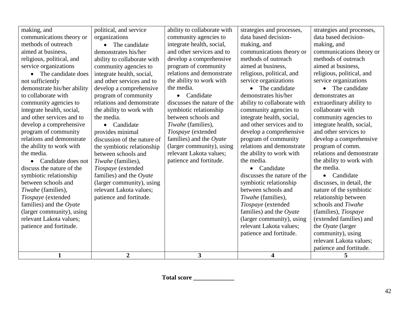| $\mathbf{1}$                | $\overline{2}$              | $\overline{3}$              | $\overline{\mathbf{4}}$     | 5                           |
|-----------------------------|-----------------------------|-----------------------------|-----------------------------|-----------------------------|
|                             |                             |                             |                             | patience and fortitude.     |
|                             |                             |                             |                             | relevant Lakota values;     |
|                             |                             |                             | patience and fortitude.     | community), using           |
| patience and fortitude.     |                             |                             | relevant Lakota values;     | the $O$ <i>yate</i> (larger |
| relevant Lakota values;     |                             |                             | (larger community), using   | (extended families) and     |
| (larger community), using   |                             |                             | families) and the Oyate     | (families), Tiospaye        |
| families) and the $Oyate$   |                             |                             | Tiospaye (extended          | schools and Tiwahe          |
| Tiospaye (extended          | patience and fortitude.     |                             | Tiwahe (families),          | relationship between        |
| Tiwahe (families),          | relevant Lakota values;     |                             | between schools and         | nature of the symbiotic     |
| between schools and         | (larger community), using   |                             | symbiotic relationship      | discusses, in detail, the   |
| symbiotic relationship      | families) and the $O$ yate  |                             | discusses the nature of the | Candidate<br>$\bullet$      |
| discuss the nature of the   | Tiospaye (extended          |                             | Candidate                   | the media.                  |
| • Candidate does not        | Tiwahe (families),          | patience and fortitude.     | the media.                  | the ability to work with    |
| the media.                  | between schools and         | relevant Lakota values;     | the ability to work with    | relations and demonstrate   |
| the ability to work with    | the symbiotic relationship  | (larger community), using   | relations and demonstrate   | program of comm.            |
| relations and demonstrate   | discussion of the nature of | families) and the $O$ yate  | program of community        | develop a comprehensive     |
| program of community        | provides minimal            | Tiospaye (extended          | develop a comprehensive     | and other services to       |
| develop a comprehensive     | Candidate                   | Tiwahe (families),          | and other services and to   | integrate health, social,   |
| and other services and to   | the media.                  | between schools and         | integrate health, social,   | community agencies to       |
| integrate health, social,   | the ability to work with    | symbiotic relationship      | community agencies to       | collaborate with            |
| community agencies to       | relations and demonstrate   | discusses the nature of the | ability to collaborate with | extraordinary ability to    |
| to collaborate with         | program of community        | • Candidate                 | demonstrates his/her        | demonstrates an             |
| demonstrate his/her ability | develop a comprehensive     | the media.                  | The candidate               | The candidate<br>$\bullet$  |
| not sufficiently            | and other services and to   | the ability to work with    | service organizations       | service organizations       |
| • The candidate does        | integrate health, social,   | relations and demonstrate   | religious, political, and   | religious, political, and   |
| service organizations       | community agencies to       | program of community        | aimed at business,          | aimed at business.          |
| religious, political, and   | ability to collaborate with | develop a comprehensive     | methods of outreach         | methods of outreach         |
| aimed at business,          | demonstrates his/her        | and other services and to   | communications theory or    | communications theory or    |
| methods of outreach         | The candidate               | integrate health, social,   | making, and                 | making, and                 |
| communications theory or    | organizations               | community agencies to       | data based decision-        | data based decision-        |
| making, and                 | political, and service      | ability to collaborate with | strategies and processes,   | strategies and processes,   |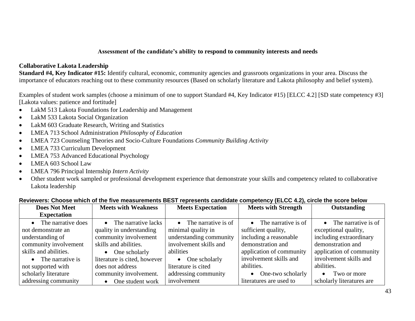#### **Assessment of the candidate's ability to respond to community interests and needs**

#### **Collaborative Lakota Leadership**

**Standard #4, Key Indicator #15:** Identify cultural, economic, community agencies and grassroots organizations in your area. Discuss the importance of educators reaching out to these community resources (Based on scholarly literature and Lakota philosophy and belief system).

Examples of student work samples (choose a minimum of one to support Standard #4, Key Indicator #15) [ELCC 4.2] [SD state competency #3] [Lakota values: patience and fortitude]

- LakM 513 Lakota Foundations for Leadership and Management
- LakM 533 Lakota Social Organization
- LakM 603 Graduate Research, Writing and Statistics
- LMEA 713 School Administration *Philosophy of Education*
- LMEA 723 Counseling Theories and Socio-Culture Foundations *Community Building Activity*
- LMEA 733 Curriculum Development
- LMEA 753 Advanced Educational Psychology
- LMEA 603 School Law
- LMEA 796 Principal Internship *Intern Activity*
- Other student work sampled or professional development experience that demonstrate your skills and competency related to collaborative Lakota leadership

|                            |                              | <u>ulitari et alle lite allegedi elleride past tepi esellis edilmididis estilpeteller (aneti alle alle seste</u> |                               |                           |  |  |
|----------------------------|------------------------------|------------------------------------------------------------------------------------------------------------------|-------------------------------|---------------------------|--|--|
| <b>Does Not Meet</b>       | <b>Meets with Weakness</b>   | <b>Meets Expectation</b>                                                                                         | <b>Meets with Strength</b>    | Outstanding               |  |  |
| <b>Expectation</b>         |                              |                                                                                                                  |                               |                           |  |  |
| The narrative does         | • The narrative lacks        | The narrative is of<br>$\bullet$                                                                                 | $\bullet$ The narrative is of | • The narrative is of     |  |  |
| not demonstrate an         | quality in understanding     | minimal quality in                                                                                               | sufficient quality,           | exceptional quality,      |  |  |
| understanding of           | community involvement        | understanding community                                                                                          | including a reasonable        | including extraordinary   |  |  |
| community involvement      | skills and abilities.        | involvement skills and                                                                                           | demonstration and             | demonstration and         |  |  |
| skills and abilities.      | $\bullet$ One scholarly      | abilities                                                                                                        | application of community      | application of community  |  |  |
| $\bullet$ The narrative is | literature is cited, however | $\bullet$ One scholarly                                                                                          | involvement skills and        | involvement skills and    |  |  |
| not supported with         | does not address             | literature is cited                                                                                              | abilities.                    | abilities.                |  |  |
| scholarly literature       | community involvement.       | addressing community                                                                                             | • One-two scholarly           | Two or more<br>$\bullet$  |  |  |
| addressing community       | One student work             | involvement                                                                                                      | literatures are used to       | scholarly literatures are |  |  |

#### **Reviewers: Choose which of the five measurements BEST represents candidate competency (ELCC 4.2), circle the score below**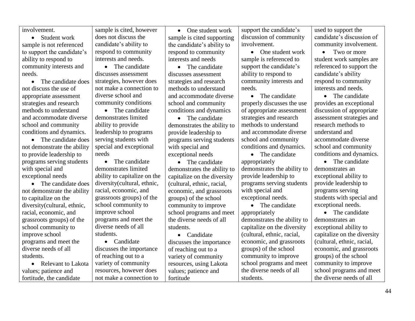| involvement.                | sample is cited, however     | One student work<br>$\bullet$ | support the candidate's     | used to support the         |
|-----------------------------|------------------------------|-------------------------------|-----------------------------|-----------------------------|
| Student work<br>$\bullet$   | does not discuss the         | sample is cited supporting    | discussion of community     | candidate's discussion of   |
| sample is not referenced    | candidate's ability to       | the candidate's ability to    | involvement.                | community involvement.      |
| to support the candidate's  | respond to community         | respond to community          | • One student work          | Two or more<br>$\bullet$    |
| ability to respond to       | interests and needs.         | interests and needs           | sample is referenced to     | student work samples are    |
| community interests and     | • The candidate              | The candidate<br>$\bullet$    | support the candidate's     | referenced to support the   |
| needs.                      | discusses assessment         | discusses assessment          | ability to respond to       | candidate's ability         |
| The candidate does          | strategies, however does     | strategies and research       | community interests and     | respond to community        |
| not discuss the use of      | not make a connection to     | methods to understand         | needs.                      | interests and needs.        |
| appropriate assessment      | diverse school and           | and accommodate diverse       | The candidate<br>$\bullet$  | • The candidate             |
| strategies and research     | community conditions         | school and community          | properly discusses the use  | provides an exceptional     |
| methods to understand       | • The candidate              | conditions and dynamics       | of appropriate assessment   | discussion of appropriate   |
| and accommodate diverse     | demonstrates limited         | • The candidate               | strategies and research     | assessment strategies and   |
| school and community        | ability to provide           | demonstrates the ability to   | methods to understand       | research methods to         |
| conditions and dynamics.    | leadership to programs       | provide leadership to         | and accommodate diverse     | understand and              |
| • The candidate does        | serving students with        | programs serving students     | school and community        | accommodate diverse         |
| not demonstrate the ability | special and exceptional      | with special and              | conditions and dynamics.    | school and community        |
| to provide leadership to    | needs                        | exceptional needs             | • The candidate             | conditions and dynamics.    |
| programs serving students   | The candidate<br>$\bullet$   | • The candidate               | appropriately               | • The candidate             |
| with special and            | demonstrates limited         | demonstrates the ability to   | demonstrates the ability to | demonstrates an             |
| exceptional needs           | ability to capitalize on the | capitalize on the diversity   | provide leadership to       | exceptional ability to      |
| The candidate does          | diversity(cultural, ethnic,  | (cultural, ethnic, racial,    | programs serving students   | provide leadership to       |
| not demonstrate the ability | racial, economic, and        | economic, and grassroots      | with special and            | programs serving            |
| to capitalize on the        | grassroots groups) of the    | groups) of the school         | exceptional needs.          | students with special and   |
| diversity(cultural, ethnic, | school community to          | community to improve          | • The candidate             | exceptional needs.          |
| racial, economic, and       | improve school               | school programs and meet      | appropriately               | • The candidate             |
| grassroots groups) of the   | programs and meet the        | the diverse needs of all      | demonstrates the ability to | demonstrates an             |
| school community to         | diverse needs of all         | students.                     | capitalize on the diversity | exceptional ability to      |
| improve school              | students.                    | • Candidate                   | (cultural, ethnic, racial,  | capitalize on the diversity |
| programs and meet the       | • Candidate                  | discusses the importance      | economic, and grassroots    | (cultural, ethnic, racial,  |
| diverse needs of all        | discusses the importance     | of reaching out to a          | groups) of the school       | economic, and grassroots    |
| students.                   | of reaching out to a         | variety of community          | community to improve        | groups) of the school       |
| Relevant to Lakota          | variety of community         | resources, using Lakota       | school programs and meet    | community to improve        |
| values; patience and        | resources, however does      | values; patience and          | the diverse needs of all    | school programs and meet    |
| fortitude, the candidate    | not make a connection to     | fortitude                     | students.                   | the diverse needs of all    |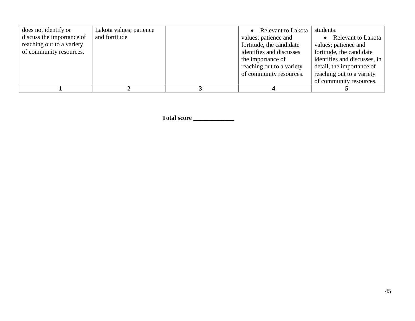| does not identify or      | Lakota values; patience | • Relevant to Lakota      | students.                    |
|---------------------------|-------------------------|---------------------------|------------------------------|
| discuss the importance of | and fortitude           | values; patience and      | • Relevant to Lakota         |
| reaching out to a variety |                         | fortitude, the candidate  | values; patience and         |
| of community resources.   |                         | identifies and discusses  | fortitude, the candidate     |
|                           |                         | the importance of         | identifies and discusses, in |
|                           |                         | reaching out to a variety | detail, the importance of    |
|                           |                         | of community resources.   | reaching out to a variety    |
|                           |                         |                           | of community resources.      |
|                           |                         |                           |                              |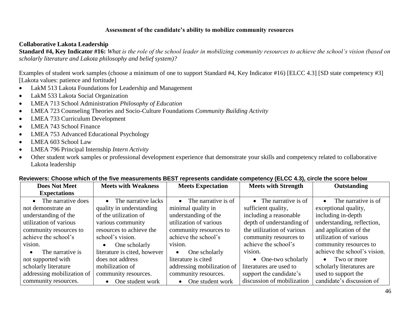#### **Assessment of the candidate's ability to mobilize community resources**

#### **Collaborative Lakota Leadership**

**Standard #4, Key Indicator #16:** *What is the role of the school leader in mobilizing community resources to achieve the school's vision (based on scholarly literature and Lakota philosophy and belief system)?*

Examples of student work samples (choose a minimum of one to support Standard #4, Key Indicator #16) [ELCC 4.3] [SD state competency #3] [Lakota values: patience and fortitude]

- LakM 513 Lakota Foundations for Leadership and Management
- LakM 533 Lakota Social Organization
- LMEA 713 School Administration *Philosophy of Education*
- LMEA 723 Counseling Theories and Socio-Culture Foundations *Community Building Activity*
- LMEA 733 Curriculum Development
- LMEA 743 School Finance
- LMEA 753 Advanced Educational Psychology
- LMEA 603 School Law
- LMEA 796 Principal Internship *Intern Activity*
- Other student work samples or professional development experience that demonstrate your skills and competency related to collaborative Lakota leadership

|                            |                                  | <u>mindit of the theorem children been topicoomic canalages competency (EEAA Tio), on the theorem and the mothem</u> |                                |                                  |
|----------------------------|----------------------------------|----------------------------------------------------------------------------------------------------------------------|--------------------------------|----------------------------------|
| <b>Does Not Meet</b>       | <b>Meets with Weakness</b>       | <b>Meets Expectation</b>                                                                                             | <b>Meets with Strength</b>     | Outstanding                      |
| <b>Expectations</b>        |                                  |                                                                                                                      |                                |                                  |
| • The narrative does       | The narrative lacks<br>$\bullet$ | $\bullet$ The narrative is of                                                                                        | $\bullet$ The narrative is of  | The narrative is of<br>$\bullet$ |
| not demonstrate an         | quality in understanding         | minimal quality in                                                                                                   | sufficient quality,            | exceptional quality,             |
| understanding of the       | of the utilization of            | understanding of the                                                                                                 | including a reasonable         | including in-depth               |
| utilization of various     | various community                | utilization of various                                                                                               | depth of understanding of      | understanding, reflection,       |
| community resources to     | resources to achieve the         | community resources to                                                                                               | the utilization of various     | and application of the           |
| achieve the school's       | school's vision.                 | achieve the school's                                                                                                 | community resources to         | utilization of various           |
| vision.                    | One scholarly<br>$\bullet$       | vision.                                                                                                              | achieve the school's           | community resources to           |
| The narrative is           | literature is cited, however     | One scholarly                                                                                                        | vision.                        | achieve the school's vision.     |
| not supported with         | does not address                 | literature is cited                                                                                                  | One-two scholarly<br>$\bullet$ | Two or more                      |
| scholarly literature       | mobilization of                  | addressing mobilization of                                                                                           | literatures are used to        | scholarly literatures are        |
| addressing mobilization of | community resources.             | community resources.                                                                                                 | support the candidate's        | used to support the              |
| community resources.       | One student work<br>$\bullet$    | One student work<br>$\bullet$                                                                                        | discussion of mobilization     | candidate's discussion of        |

#### **Reviewers: Choose which of the five measurements BEST represents candidate competency (ELCC 4.3), circle the score below**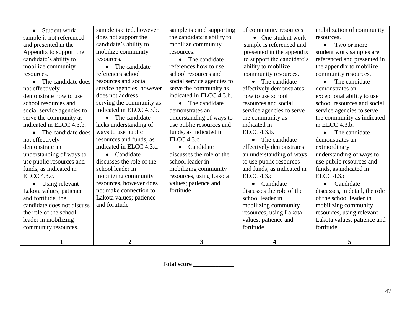| 1                          | $\overline{2}$            | $\mathbf{3}$               | 4                          | 5                              |
|----------------------------|---------------------------|----------------------------|----------------------------|--------------------------------|
|                            |                           |                            |                            |                                |
| community resources.       |                           |                            | fortitude                  | fortitude                      |
| leader in mobilizing       |                           |                            | values; patience and       | Lakota values; patience and    |
| the role of the school     |                           |                            | resources, using Lakota    | resources, using relevant      |
| candidate does not discuss | and fortitude             |                            | mobilizing community       | mobilizing community           |
| and fortitude, the         | Lakota values; patience   |                            | school leader in           | of the school leader in        |
| Lakota values; patience    | not make connection to    | fortitude                  | discusses the role of the  | discusses, in detail, the role |
| • Using relevant           | resources, however does   | values; patience and       | Candidate<br>$\bullet$     | Candidate                      |
| ELCC 4.3.c.                | mobilizing community      | resources, using Lakota    | ELCC 4.3.c                 | <b>ELCC</b> 4.3.c              |
| funds, as indicated in     | school leader in          | mobilizing community       | and funds, as indicated in | funds, as indicated in         |
| use public resources and   | discusses the role of the | school leader in           | to use public resources    | use public resources and       |
| understanding of ways to   | Candidate                 | discusses the role of the  | an understanding of ways   | understanding of ways to       |
| demonstrate an             | indicated in ELCC 4.3.c.  | • Candidate                | effectively demonstrates   | extraordinary                  |
| not effectively            | resources and funds, as   | ELCC 4.3.c.                | The candidate<br>$\bullet$ | demonstrates an                |
| • The candidate does       | ways to use public        | funds, as indicated in     | ELCC 4.3.b.                | The candidate                  |
| indicated in ELCC 4.3.b.   | lacks understanding of    | use public resources and   | indicated in               | in ELCC $4.3.b.$               |
| serve the community as     | • The candidate           | understanding of ways to   | the community as           | the community as indicated     |
| social service agencies to | indicated in ELCC 4.3.b.  | demonstrates an            | service agencies to serve  | service agencies to serve      |
| school resources and       | serving the community as  | • The candidate            | resources and social       | school resources and social    |
| demonstrate how to use     | does not address          | indicated in ELCC 4.3.b.   | how to use school          | exceptional ability to use     |
| not effectively            | service agencies, however | serve the community as     | effectively demonstrates   | demonstrates an                |
| • The candidate does       | resources and social      | social service agencies to | • The candidate            | The candidate                  |
| resources.                 | references school         | school resources and       | community resources.       | community resources.           |
| mobilize community         | The candidate             | references how to use      | ability to mobilize        | the appendix to mobilize       |
| candidate's ability to     | resources.                | • The candidate            | to support the candidate's | referenced and presented in    |
| Appendix to support the    | mobilize community        | resources.                 | presented in the appendix  | student work samples are       |
| and presented in the       | candidate's ability to    | mobilize community         | sample is referenced and   | Two or more                    |
| sample is not referenced   | does not support the      | the candidate's ability to | $\bullet$ One student work | resources.                     |
| Student work               | sample is cited, however  | sample is cited supporting | of community resources.    | mobilization of community      |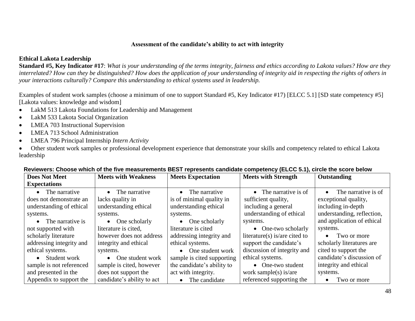#### **Assessment of the candidate's ability to act with integrity**

## **Ethical Lakota Leadership**

**Standard #5, Key Indicator #17**: *What is your understanding of the terms integrity, fairness and ethics according to Lakota values? How are they interrelated? How can they be distinguished? How does the application of your understanding of integrity aid in respecting the rights of others in your interactions culturally? Compare this understanding to ethical systems used in leadership.*

Examples of student work samples (choose a minimum of one to support Standard #5, Key Indicator #17) [ELCC 5.1] [SD state competency #5] [Lakota values: knowledge and wisdom]

- LakM 513 Lakota Foundations for Leadership and Management
- LakM 533 Lakota Social Organization
- LMEA 703 Instructional Supervision
- LMEA 713 School Administration
- LMEA 796 Principal Internship *Intern Activity*
- Other student work samples or professional development experience that demonstrate your skills and competency related to ethical Lakota leadership

| <b>Does Not Meet</b>     | <b>Meets with Weakness</b> | <b>Meets Expectation</b>   | <b>Meets with Strength</b>    | Outstanding                |
|--------------------------|----------------------------|----------------------------|-------------------------------|----------------------------|
| <b>Expectations</b>      |                            |                            |                               |                            |
| $\bullet$ The narrative  | • The narrative            | The narrative              | $\bullet$ The narrative is of | The narrative is of        |
| does not demonstrate an  | lacks quality in           | is of minimal quality in   | sufficient quality,           | exceptional quality,       |
| understanding of ethical | understanding ethical      | understanding ethical      | including a general           | including in-depth         |
| systems.                 | systems.                   | systems.                   | understanding of ethical      | understanding, reflection, |
| • The narrative is       | $\bullet$ One scholarly    | $\bullet$ One scholarly    | systems.                      | and application of ethical |
| not supported with       | literature is cited.       | literature is cited        | • One-two scholarly           | systems.                   |
| scholarly literature     | however does not address   | addressing integrity and   | literature(s) is/are cited to | Two or more                |
| addressing integrity and | integrity and ethical      | ethical systems.           | support the candidate's       | scholarly literatures are  |
| ethical systems.         | systems.                   | • One student work         | discussion of integrity and   | cited to support the       |
| • Student work           | • One student work         | sample is cited supporting | ethical systems.              | candidate's discussion of  |
| sample is not referenced | sample is cited, however   | the candidate's ability to | • One-two student             | integrity and ethical      |
| and presented in the     | does not support the       | act with integrity.        | work sample(s) is/are         | systems.                   |
| Appendix to support the  | candidate's ability to act | The candidate              | referenced supporting the     | Two or more                |

#### **Reviewers: Choose which of the five measurements BEST represents candidate competency (ELCC 5.1), circle the score below**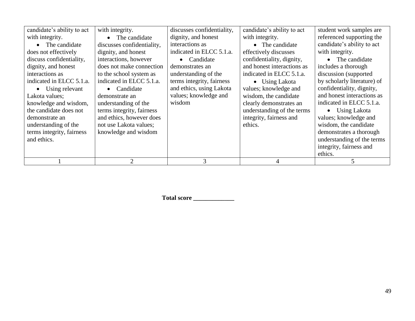| candidate's ability to act | with integrity.             | discusses confidentiality, | candidate's ability to act | student work samples are    |
|----------------------------|-----------------------------|----------------------------|----------------------------|-----------------------------|
| with integrity.            | The candidate               | dignity, and honest        | with integrity.            | referenced supporting the   |
| • The candidate            | discusses confidentiality,  | interactions as            | • The candidate            | candidate's ability to act  |
| does not effectively       | dignity, and honest         | indicated in ELCC 5.1.a.   | effectively discusses      | with integrity.             |
| discuss confidentiality,   | interactions, however       | Candidate                  | confidentiality, dignity,  | The candidate               |
| dignity, and honest        | does not make connection    | demonstrates an            | and honest interactions as | includes a thorough         |
| interactions as            | to the school system as     | understanding of the       | indicated in ELCC 5.1.a.   | discussion (supported       |
| indicated in ELCC 5.1.a.   | indicated in ELCC 5.1.a.    | terms integrity, fairness  | $\bullet$ Using Lakota     | by scholarly literature) of |
| $\bullet$ Using relevant   | Candidate<br>$\bullet$      | and ethics, using Lakota   | values; knowledge and      | confidentiality, dignity,   |
| Lakota values;             | demonstrate an              | values; knowledge and      | wisdom, the candidate      | and honest interactions as  |
| knowledge and wisdom,      | understanding of the        | wisdom                     | clearly demonstrates an    | indicated in ELCC 5.1.a.    |
| the candidate does not     | terms integrity, fairness   |                            | understanding of the terms | • Using Lakota              |
| demonstrate an             | and ethics, however does    |                            | integrity, fairness and    | values; knowledge and       |
| understanding of the       | not use Lakota values;      |                            | ethics.                    | wisdom, the candidate       |
| terms integrity, fairness  | knowledge and wisdom        |                            |                            | demonstrates a thorough     |
| and ethics.                |                             |                            |                            | understanding of the terms  |
|                            |                             |                            |                            | integrity, fairness and     |
|                            |                             |                            |                            | ethics.                     |
|                            | $\mathcal{D}_{\mathcal{L}}$ | 3                          |                            |                             |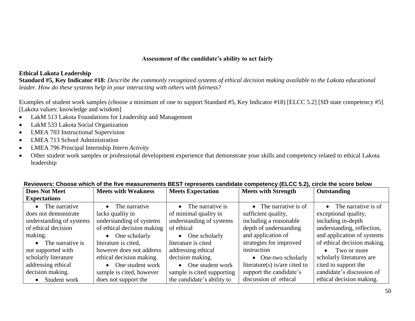#### **Assessment of the candidate's ability to act fairly**

#### **Ethical Lakota Leadership**

**Standard #5, Key Indicator #18:** *Describe the commonly recognized systems of ethical decision making available to the Lakota educational leader. How do these systems help in your interacting with others with fairness?*

Examples of student work samples (choose a minimum of one to support Standard #5, Key Indicator #18) [ELCC 5.2] [SD state competency #5] [Lakota values: knowledge and wisdom]

- LakM 513 Lakota Foundations for Leadership and Management
- LakM 533 Lakota Social Organization
- LMEA 703 Instructional Supervision
- LMEA 713 School Administration
- LMEA 796 Principal Internship *Intern Activity*
- Other student work samples or professional development experience that demonstrate your skills and competency related to ethical Lakota leadership

| <b>Does Not Meet</b>     | <b>Meets with Weakness</b> | <b>Meets Expectation</b>   | <b>Meets with Strength</b>    | Outstanding                   |
|--------------------------|----------------------------|----------------------------|-------------------------------|-------------------------------|
| <b>Expectations</b>      |                            |                            |                               |                               |
| • The narrative          | • The narrative            | • The narrative is         | • The narrative is of         | $\bullet$ The narrative is of |
| does not demonstrate     | lacks quality in           | of minimal quality in      | sufficient quality,           | exceptional quality,          |
| understanding of systems | understanding of systems   | understanding of systems   | including a reasonable        | including in-depth            |
| of ethical decision      | of ethical decision making | of ethical                 | depth of understanding        | understanding, reflection,    |
| making.                  | $\bullet$ One scholarly    | $\bullet$ One scholarly    | and application of            | and application of systems    |
| • The narrative is       | literature is cited,       | literature is cited        | strategies for improved       | of ethical decision making.   |
| not supported with       | however does not address   | addressing ethical         | instruction                   | Two or more<br>$\bullet$      |
| scholarly literature     | ethical decision making.   | decision making.           | • One-two scholarly           | scholarly literatures are     |
| addressing ethical       | $\bullet$ One student work | • One student work         | literature(s) is/are cited to | cited to support the          |
| decision making.         | sample is cited, however   | sample is cited supporting | support the candidate's       | candidate's discussion of     |
| Student work             | does not support the       | the candidate's ability to | discussion of ethical         | ethical decision making.      |

#### **Reviewers: Choose which of the five measurements BEST represents candidate competency (ELCC 5.2), circle the score below**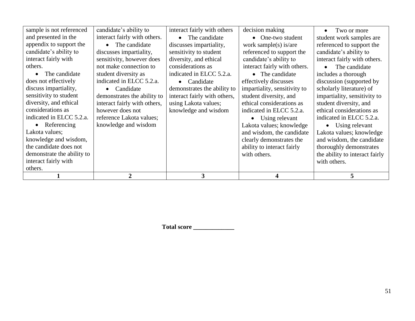|                            |                              | 3                            |                              | 5                              |
|----------------------------|------------------------------|------------------------------|------------------------------|--------------------------------|
| others.                    |                              |                              |                              |                                |
| interact fairly with       |                              |                              |                              | with others.                   |
| demonstrate the ability to |                              |                              | with others.                 | the ability to interact fairly |
| the candidate does not     |                              |                              | ability to interact fairly   | thoroughly demonstrates        |
| knowledge and wisdom,      |                              |                              | clearly demonstrates the     | and wisdom, the candidate      |
| Lakota values;             |                              |                              | and wisdom, the candidate    | Lakota values; knowledge       |
| $\bullet$ Referencing      | knowledge and wisdom         |                              | Lakota values; knowledge     | Using relevant<br>$\bullet$    |
| indicated in ELCC 5.2.a.   | reference Lakota values;     |                              | Using relevant<br>$\bullet$  | indicated in ELCC 5.2.a.       |
| considerations as          | however does not             | knowledge and wisdom         | indicated in ELCC 5.2.a.     | ethical considerations as      |
| diversity, and ethical     | interact fairly with others, | using Lakota values;         | ethical considerations as    | student diversity, and         |
| sensitivity to student     | demonstrates the ability to  | interact fairly with others, | student diversity, and       | impartiality, sensitivity to   |
| discuss impartiality,      | Candidate<br>$\bullet$       | demonstrates the ability to  | impartiality, sensitivity to | scholarly literature) of       |
| does not effectively       | indicated in ELCC 5.2.a.     | • Candidate                  | effectively discusses        | discussion (supported by       |
| The candidate              | student diversity as         | indicated in ELCC 5.2.a.     | • The candidate              | includes a thorough            |
| others.                    | not make connection to       | considerations as            | interact fairly with others. | The candidate                  |
| interact fairly with       | sensitivity, however does    | diversity, and ethical       | candidate's ability to       | interact fairly with others.   |
| candidate's ability to     | discusses impartiality,      | sensitivity to student       | referenced to support the    | candidate's ability to         |
| appendix to support the    | • The candidate              | discusses impartiality,      | work sample(s) is/are        | referenced to support the      |
| and presented in the       | interact fairly with others. | • The candidate              | $\bullet$ One-two student    | student work samples are       |
| sample is not referenced   | candidate's ability to       | interact fairly with others  | decision making              | Two or more                    |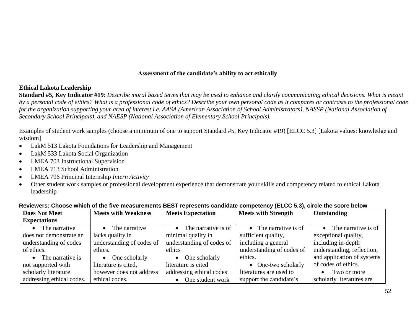#### **Assessment of the candidate's ability to act ethically**

#### **Ethical Lakota Leadership**

**Standard #5, Key Indicator #19**: *Describe moral based terms that may be used to enhance and clarify communicating ethical decisions. What is meant by a personal code of ethics? What is a professional code of ethics? Describe your own personal code as it compares or contrasts to the professional code for the organization supporting your area of interest i.e. AASA (American Association of School Administrators), NASSP (National Association of Secondary School Principals), and NAESP (National Association of Elementary School Principals).*

Examples of student work samples (choose a minimum of one to support Standard #5, Key Indicator #19) [ELCC 5.3] [Lakota values: knowledge and wisdom]

- LakM 513 Lakota Foundations for Leadership and Management
- LakM 533 Lakota Social Organization
- LMEA 703 Instructional Supervision
- LMEA 713 School Administration
- LMEA 796 Principal Internship *Intern Activity*
- Other student work samples or professional development experience that demonstrate your skills and competency related to ethical Lakota leadership

| <b>Does Not Meet</b>      | <b>Meets with Weakness</b> | <b>Meets Expectation</b>      | <b>Meets with Strength</b>    | Outstanding                   |
|---------------------------|----------------------------|-------------------------------|-------------------------------|-------------------------------|
| <b>Expectations</b>       |                            |                               |                               |                               |
| • The narrative           | • The narrative            | $\bullet$ The narrative is of | $\bullet$ The narrative is of | $\bullet$ The narrative is of |
| does not demonstrate an   | lacks quality in           | minimal quality in            | sufficient quality,           | exceptional quality,          |
| understanding of codes    | understanding of codes of  | understanding of codes of     | including a general           | including in-depth            |
| of ethics.                | ethics.                    | ethics                        | understanding of codes of     | understanding, reflection,    |
| • The narrative is        | $\bullet$ One scholarly    | One scholarly                 | ethics.                       | and application of systems    |
| not supported with        | literature is cited,       | literature is cited           | • One-two scholarly           | of codes of ethics.           |
| scholarly literature      | however does not address   | addressing ethical codes      | literatures are used to       | Two or more                   |
| addressing ethical codes. | ethical codes.             | One student work              | support the candidate's       | scholarly literatures are     |

#### **Reviewers: Choose which of the five measurements BEST represents candidate competency (ELCC 5.3), circle the score below**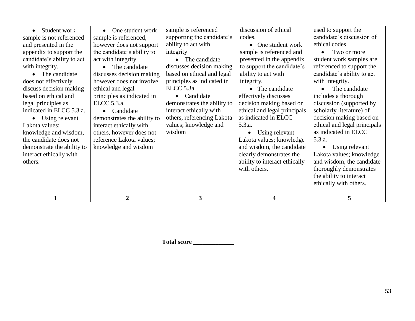| Student work<br>$\bullet$  | One student work<br>$\bullet$ | sample is referenced        | discussion of ethical         | used to support the          |
|----------------------------|-------------------------------|-----------------------------|-------------------------------|------------------------------|
| sample is not referenced   | sample is referenced,         | supporting the candidate's  | codes.                        | candidate's discussion of    |
| and presented in the       | however does not support      | ability to act with         | One student work<br>$\bullet$ | ethical codes.               |
| appendix to support the    | the candidate's ability to    | integrity                   | sample is referenced and      | Two or more                  |
| candidate's ability to act | act with integrity.           | The candidate               | presented in the appendix     | student work samples are     |
| with integrity.            | The candidate<br>$\bullet$    | discusses decision making   | to support the candidate's    | referenced to support the    |
| The candidate              | discusses decision making     | based on ethical and legal  | ability to act with           | candidate's ability to act   |
| does not effectively       | however does not involve      | principles as indicated in  | integrity.                    | with integrity.              |
| discuss decision making    | ethical and legal             | ELCC 5.3a                   | • The candidate               | The candidate                |
| based on ethical and       | principles as indicated in    | Candidate                   | effectively discusses         | includes a thorough          |
| legal principles as        | ELCC 5.3.a.                   | demonstrates the ability to | decision making based on      | discussion (supported by     |
| indicated in ELCC 5.3.a.   | Candidate                     | interact ethically with     | ethical and legal principals  | scholarly literature) of     |
| Using relevant             | demonstrates the ability to   | others, referencing Lakota  | as indicated in ELCC          | decision making based on     |
| Lakota values;             | interact ethically with       | values; knowledge and       | 5.3.a.                        | ethical and legal principals |
| knowledge and wisdom,      | others, however does not      | wisdom                      | Using relevant                | as indicated in ELCC         |
| the candidate does not     | reference Lakota values;      |                             | Lakota values; knowledge      | 5.3.a.                       |
| demonstrate the ability to | knowledge and wisdom          |                             | and wisdom, the candidate     | Using relevant               |
| interact ethically with    |                               |                             | clearly demonstrates the      | Lakota values; knowledge     |
| others.                    |                               |                             | ability to interact ethically | and wisdom, the candidate    |
|                            |                               |                             | with others.                  | thoroughly demonstrates      |
|                            |                               |                             |                               | the ability to interact      |
|                            |                               |                             |                               | ethically with others.       |
|                            |                               |                             |                               |                              |
|                            | $\overline{2}$                | 3                           |                               | 5                            |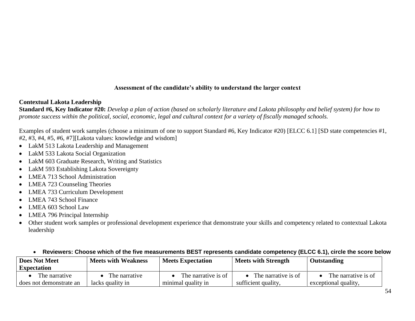#### **Assessment of the candidate's ability to understand the larger context**

#### **Contextual Lakota Leadership**

**Standard #6, Key Indicator #20:** *Develop a plan of action (based on scholarly literature and Lakota philosophy and belief system) for how to promote success within the political, social, economic, legal and cultural context for a variety of fiscally managed schools.*

Examples of student work samples (choose a minimum of one to support Standard #6, Key Indicator #20) [ELCC 6.1] [SD state competencies #1, #2, #3, #4, #5, #6, #7][Lakota values: knowledge and wisdom]

- LakM 513 Lakota Leadership and Management
- LakM 533 Lakota Social Organization
- LakM 603 Graduate Research, Writing and Statistics
- LakM 593 Establishing Lakota Sovereignty
- LMEA 713 School Administration
- LMEA 723 Counseling Theories
- LMEA 733 Curriculum Development
- LMEA 743 School Finance
- LMEA 603 School Law
- LMEA 796 Principal Internship
- Other student work samples or professional development experience that demonstrate your skills and competency related to contextual Lakota leadership

| <b>Does Not Meet</b><br><b>Expectation</b> | <b>Meets with Weakness</b> | <b>Meets Expectation</b> | <b>Meets with Strength</b> | Outstanding          |
|--------------------------------------------|----------------------------|--------------------------|----------------------------|----------------------|
| The narrative                              | The narrative              | The narrative is of      | The narrative is of        | The narrative is of  |
| does not demonstrate an                    | lacks quality in           | minimal quality in       | sufficient quality,        | exceptional quality, |

#### **Reviewers: Choose which of the five measurements BEST represents candidate competency (ELCC 6.1), circle the score below**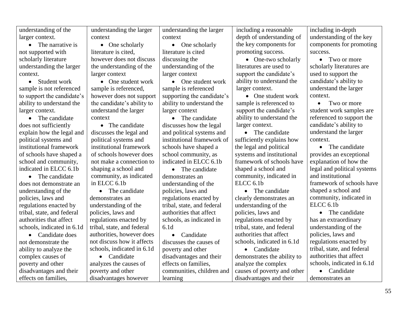| understanding of the          | understanding the larger   | understanding the larger   | including a reasonable      | including in-depth          |
|-------------------------------|----------------------------|----------------------------|-----------------------------|-----------------------------|
| larger context.               | context                    | context                    | depth of understanding of   | understanding of the key    |
| The narrative is<br>$\bullet$ | • One scholarly            | $\bullet$ One scholarly    | the key components for      | components for promoting    |
| not supported with            | literature is cited.       | literature is cited        | promoting success.          | success.                    |
| scholarly literature          | however does not discuss   | discussing the             | • One-two scholarly         | • Two or more               |
| understanding the larger      | the understanding of the   | understanding of the       | literatures are used to     | scholarly literatures are   |
| context.                      | larger context             | larger context             | support the candidate's     | used to support the         |
| Student work<br>$\bullet$     | • One student work         | • One student work         | ability to understand the   | candidate's ability to      |
| sample is not referenced      | sample is referenced,      | sample is referenced       | larger context.             | understand the larger       |
| to support the candidate's    | however does not support   | supporting the candidate's | • One student work          | context.                    |
| ability to understand the     | the candidate's ability to | ability to understand the  | sample is referenced to     | Two or more<br>$\bullet$    |
| larger context.               | understand the larger      | larger context             | support the candidate's     | student work samples are    |
| The candidate                 | context                    | • The candidate            | ability to understand the   | referenced to support the   |
| does not sufficiently         | • The candidate            | discusses how the legal    | larger context.             | candidate's ability to      |
| explain how the legal and     | discusses the legal and    | and political systems and  | • The candidate             | understand the larger       |
| political systems and         | political systems and      | institutional framework of | sufficiently explains how   | context.                    |
| institutional framework       | institutional framework    | schools have shaped a      | the legal and political     | • The candidate             |
| of schools have shaped a      | of schools however does    | school community, as       | systems and institutional   | provides an exceptional     |
| school and community,         | not make a connection to   | indicated in ELCC 6.1b     | framework of schools have   | explanation of how the      |
| indicated in ELCC 6.1b        | shaping a school and       | • The candidate            | shaped a school and         | legal and political systems |
| The candidate<br>$\bullet$    | community, as indicated    | demonstrates an            | community, indicated in     | and institutional           |
| does not demonstrate an       | in ELCC 6.1b               | understanding of the       | ELCC <sub>6.1b</sub>        | framework of schools have   |
| understanding of the          | The candidate              | policies, laws and         | The candidate<br>$\bullet$  | shaped a school and         |
| policies, laws and            | demonstrates an            | regulations enacted by     | clearly demonstrates an     | community, indicated in     |
| regulations enacted by        | understanding of the       | tribal, state, and federal | understanding of the        | ELCC <sub>6.1b</sub>        |
| tribal, state, and federal    | policies, laws and         | authorities that affect    | policies, laws and          | • The candidate             |
| authorities that affect       | regulations enacted by     | schools, as indicated in   | regulations enacted by      | has an extraordinary        |
| schools, indicated in 6.1d    | tribal, state, and federal | 6.1 <sub>d</sub>           | tribal, state, and federal  | understanding of the        |
| Candidate does                | authorities, however does  | Candidate                  | authorities that affect     | policies, laws and          |
| not demonstrate the           | not discuss how it affects | discusses the causes of    | schools, indicated in 6.1d  | regulations enacted by      |
| ability to analyze the        | schools, indicated in 6.1d | poverty and other          | • Candidate                 | tribal, state, and federal  |
| complex causes of             | • Candidate                | disadvantages and their    | demonstrates the ability to | authorities that affect     |
| poverty and other             | analyzes the causes of     | effects on families,       | analyze the complex         | schools, indicated in 6.1d  |
| disadvantages and their       | poverty and other          | communities, children and  | causes of poverty and other | • Candidate                 |
| effects on families,          | disadvantages however      | learning                   | disadvantages and their     | demonstrates an             |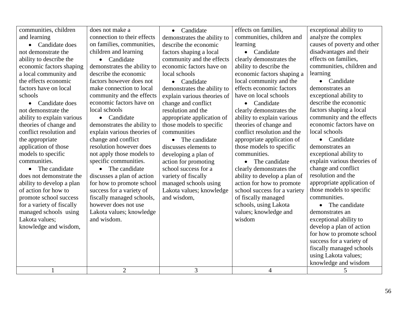| communities, children      | does not make a             | • Candidate                 | effects on families,         | exceptional ability to      |
|----------------------------|-----------------------------|-----------------------------|------------------------------|-----------------------------|
| and learning               | connection to their effects | demonstrates the ability to | communities, children and    | analyze the complex         |
| • Candidate does           | on families, communities,   | describe the economic       | learning                     | causes of poverty and other |
| not demonstrate the        | children and learning       | factors shaping a local     | Candidate<br>$\bullet$       | disadvantages and their     |
| ability to describe the    | • Candidate                 | community and the effects   | clearly demonstrates the     | effects on families,        |
| economic factors shaping   | demonstrates the ability to | economic factors have on    | ability to describe the      | communities, children and   |
| a local community and      | describe the economic       | local schools               | economic factors shaping a   | learning                    |
| the effects economic       | factors however does not    | • Candidate                 | local community and the      | • Candidate                 |
| factors have on local      | make connection to local    | demonstrates the ability to | effects economic factors     | demonstrates an             |
| schools                    | community and the effects   | explain various theories of | have on local schools        | exceptional ability to      |
| • Candidate does           | economic factors have on    | change and conflict         | • Candidate                  | describe the economic       |
| not demonstrate the        | local schools               | resolution and the          | clearly demonstrates the     | factors shaping a local     |
| ability to explain various | • Candidate                 | appropriate application of  | ability to explain various   | community and the effects   |
| theories of change and     | demonstrates the ability to | those models to specific    | theories of change and       | economic factors have on    |
| conflict resolution and    | explain various theories of | communities                 | conflict resolution and the  | local schools               |
| the appropriate            | change and conflict         | The candidate<br>$\bullet$  | appropriate application of   | • Candidate                 |
| application of those       | resolution however does     | discusses elements to       | those models to specific     | demonstrates an             |
| models to specific         | not apply those models to   | developing a plan of        | communities.                 | exceptional ability to      |
| communities.               | specific communities.       | action for promoting        | • The candidate              | explain various theories of |
| The candidate<br>$\bullet$ | • The candidate             | school success for a        | clearly demonstrates the     | change and conflict         |
| does not demonstrate the   | discusses a plan of action  | variety of fiscally         | ability to develop a plan of | resolution and the          |
| ability to develop a plan  | for how to promote school   | managed schools using       | action for how to promote    | appropriate application of  |
| of action for how to       | success for a variety of    | Lakota values; knowledge    | school success for a variety | those models to specific    |
| promote school success     | fiscally managed schools,   | and wisdom,                 | of fiscally managed          | communities.                |
| for a variety of fiscally  | however does not use        |                             | schools, using Lakota        | The candidate               |
| managed schools using      | Lakota values; knowledge    |                             | values; knowledge and        | demonstrates an             |
| Lakota values;             | and wisdom.                 |                             | wisdom                       | exceptional ability to      |
| knowledge and wisdom,      |                             |                             |                              | develop a plan of action    |
|                            |                             |                             |                              | for how to promote school   |
|                            |                             |                             |                              | success for a variety of    |
|                            |                             |                             |                              | fiscally managed schools    |
|                            |                             |                             |                              | using Lakota values;        |
|                            |                             |                             |                              | knowledge and wisdom        |
| $\mathbf{1}$               | $\overline{2}$              | $\overline{3}$              | $\overline{4}$               | 5                           |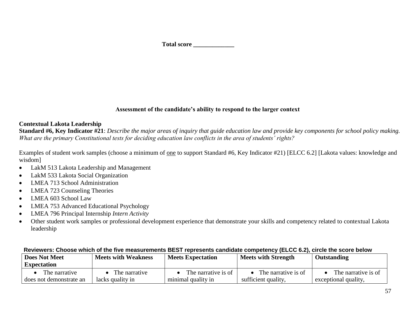#### **Assessment of the candidate's ability to respond to the larger context**

#### **Contextual Lakota Leadership**

**Standard #6, Key Indicator #21**: *Describe the major areas of inquiry that guide education law and provide key components for school policy making. What are the primary Constitutional tests for deciding education law conflicts in the area of students' rights?*

Examples of student work samples (choose a minimum of one to support Standard #6, Key Indicator #21) [ELCC 6.2] [Lakota values: knowledge and wisdom]

- LakM 513 Lakota Leadership and Management
- LakM 533 Lakota Social Organization
- LMEA 713 School Administration
- LMEA 723 Counseling Theories
- LMEA 603 School Law
- LMEA 753 Advanced Educational Psychology
- LMEA 796 Principal Internship *Intern Activity*
- Other student work samples or professional development experience that demonstrate your skills and competency related to contextual Lakota leadership

| <b>Does Not Meet</b>    | <b>Meets with Weakness</b> | <b>Meets Expectation</b> | <b>Meets with Strength</b> | Outstanding          |
|-------------------------|----------------------------|--------------------------|----------------------------|----------------------|
| <b>Expectation</b>      |                            |                          |                            |                      |
| The narrative           | The narrative              | The narrative is of      | The narrative is of        | The narrative is of  |
| does not demonstrate an | lacks quality in           | minimal quality in       | sufficient quality,        | exceptional quality. |

#### **Reviewers: Choose which of the five measurements BEST represents candidate competency (ELCC 6.2), circle the score below**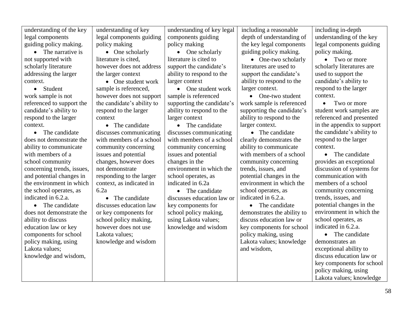| understanding of the key   | understanding of key       | understanding of key legal | including a reasonable      | including in-depth         |
|----------------------------|----------------------------|----------------------------|-----------------------------|----------------------------|
| legal components           | legal components guiding   | components guiding         | depth of understanding of   | understanding of the key   |
| guiding policy making.     | policy making              | policy making              | the key legal components    | legal components guiding   |
| The narrative is           | $\bullet$ One scholarly    | $\bullet$ One scholarly    | guiding policy making.      | policy making.             |
| not supported with         | literature is cited,       | literature is cited to     | • One-two scholarly         | Two or more                |
| scholarly literature       | however does not address   | support the candidate's    | literatures are used to     | scholarly literatures are  |
| addressing the larger      | the larger context         | ability to respond to the  | support the candidate's     | used to support the        |
| context.                   | • One student work         | larger context             | ability to respond to the   | candidate's ability to     |
| • Student                  | sample is referenced,      | One student work           | larger context.             | respond to the larger      |
| work sample is not         | however does not support   | sample is referenced       | • One-two student           | context.                   |
| referenced to support the  | the candidate's ability to | supporting the candidate's | work sample is referenced   | Two or more<br>$\bullet$   |
| candidate's ability to     | respond to the larger      | ability to respond to the  | supporting the candidate's  | student work samples are   |
| respond to the larger      | context                    | larger context             | ability to respond to the   | referenced and presented   |
| context.                   | • The candidate            | • The candidate            | larger context.             | in the appendix to support |
| • The candidate            | discusses communicating    | discusses communicating    | • The candidate             | the candidate's ability to |
| does not demonstrate the   | with members of a school   | with members of a school   | clearly demonstrates the    | respond to the larger      |
| ability to communicate     | community concerning       | community concerning       | ability to communicate      | context.                   |
| with members of a          | issues and potential       | issues and potential       | with members of a school    | • The candidate            |
| school community           | changes, however does      | changes in the             | community concerning        | provides an exceptional    |
| concerning trends, issues, | not demonstrate            | environment in which the   | trends, issues, and         | discussion of systems for  |
| and potential changes in   | responding to the larger   | school operates, as        | potential changes in the    | communication with         |
| the environment in which   | context, as indicated in   | indicated in 6.2a          | environment in which the    | members of a school        |
| the school operates, as    | 6.2a                       | • The candidate            | school operates, as         | community concerning       |
| indicated in 6.2.a.        | The candidate<br>$\bullet$ | discusses education law or | indicated in 6.2.a.         | trends, issues, and        |
| • The candidate            | discusses education law    | key components for         | • The candidate             | potential changes in the   |
| does not demonstrate the   | or key components for      | school policy making,      | demonstrates the ability to | environment in which the   |
| ability to discuss         | school policy making,      | using Lakota values;       | discuss education law or    | school operates, as        |
| education law or key       | however does not use       | knowledge and wisdom       | key components for school   | indicated in 6.2.a.        |
| components for school      | Lakota values;             |                            | policy making, using        | The candidate<br>$\bullet$ |
| policy making, using       | knowledge and wisdom       |                            | Lakota values; knowledge    | demonstrates an            |
| Lakota values;             |                            |                            | and wisdom,                 | exceptional ability to     |
| knowledge and wisdom,      |                            |                            |                             | discuss education law or   |
|                            |                            |                            |                             | key components for school  |
|                            |                            |                            |                             | policy making, using       |
|                            |                            |                            |                             | Lakota values; knowledge   |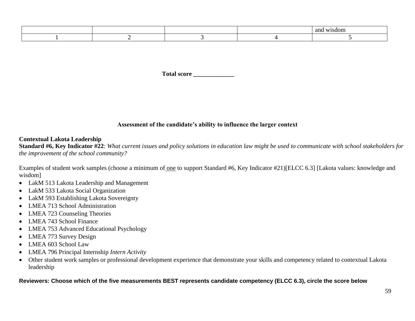|  |  | ano<br>sdom<br>. . |
|--|--|--------------------|
|  |  |                    |

Total score

#### **Assessment of the candidate's ability to influence the larger context**

#### **Contextual Lakota Leadership**

**Standard #6, Key Indicator #22**: *What current issues and policy solutions in education law might be used to communicate with school stakeholders for the improvement of the school community?*

Examples of student work samples (choose a minimum of one to support Standard #6, Key Indicator #21)[ELCC 6.3] [Lakota values: knowledge and wisdom]

- LakM 513 Lakota Leadership and Management
- LakM 533 Lakota Social Organization
- LakM 593 Establishing Lakota Sovereignty
- LMEA 713 School Administration
- LMEA 723 Counseling Theories
- LMEA 743 School Finance
- LMEA 753 Advanced Educational Psychology
- LMEA 773 Survey Design
- LMEA 603 School Law
- LMEA 796 Principal Internship *Intern Activity*
- Other student work samples or professional development experience that demonstrate your skills and competency related to contextual Lakota leadership

#### **Reviewers: Choose which of the five measurements BEST represents candidate competency (ELCC 6.3), circle the score below**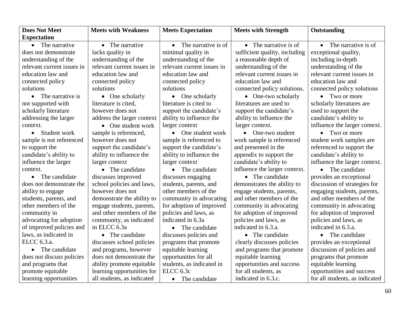| <b>Does Not Meet</b>       | <b>Meets with Weakness</b> | <b>Meets Expectation</b>         | <b>Meets with Strength</b>    | Outstanding                    |
|----------------------------|----------------------------|----------------------------------|-------------------------------|--------------------------------|
| <b>Expectation</b>         |                            |                                  |                               |                                |
| • The narrative            | • The narrative            | The narrative is of<br>$\bullet$ | $\bullet$ The narrative is of | $\bullet$ The narrative is of  |
| does not demonstrate       | lacks quality in           | minimal quality in               | sufficient quality, including | exceptional quality,           |
| understanding of the       | understanding of the       | understanding of the             | a reasonable depth of         | including in-depth             |
| relevant current issues in | relevant current issues in | relevant current issues in       | understanding of the          | understanding of the           |
| education law and          | education law and          | education law and                | relevant current issues in    | relevant current issues in     |
| connected policy           | connected policy           | connected policy                 | education law and             | education law and              |
| solutions                  | solutions                  | solutions                        | connected policy solutions.   | connected policy solutions     |
| • The narrative is         | $\bullet$ One scholarly    | One scholarly<br>$\bullet$       | • One-two scholarly           | • Two or more                  |
| not supported with         | literature is cited,       | literature is cited to           | literatures are used to       | scholarly literatures are      |
| scholarly literature       | however does not           | support the candidate's          | support the candidate's       | used to support the            |
| addressing the larger      | address the larger context | ability to influence the         | ability to influence the      | candidate's ability to         |
| context.                   | • One student work         | larger context                   | larger context.               | influence the larger context.  |
| • Student work             | sample is referenced,      | • One student work               | $\bullet$ One-two student     | • Two or more                  |
| sample is not referenced   | however does not           | sample is referenced to          | work sample is referenced     | student work samples are       |
| to support the             | support the candidate's    | support the candidate's          | and presented in the          | referenced to support the      |
| candidate's ability to     | ability to influence the   | ability to influence the         | appendix to support the       | candidate's ability to         |
| influence the larger       | larger context             | larger context                   | candidate's ability to        | influence the larger context.  |
| context.                   | • The candidate            | The candidate                    | influence the larger context. | The candidate<br>$\bullet$     |
| The candidate              | discusses improved         | discusses engaging               | • The candidate               | provides an exceptional        |
| does not demonstrate the   | school policies and laws,  | students, parents, and           | demonstrates the ability to   | discussion of strategies for   |
| ability to engage          | however does not           | other members of the             | engage students, parents,     | engaging students, parents,    |
| students, parents, and     | demonstrate the ability to | community in advocating          | and other members of the      | and other members of the       |
| other members of the       | engage students, parents,  | for adoption of improved         | community in advocating       | community in advocating        |
| community in               | and other members of the   | policies and laws, as            | for adoption of improved      | for adoption of improved       |
| advocating for adoption    | community, as indicated    | indicated in 6.3a                | policies and laws, as         | policies and laws, as          |
| of improved policies and   | in ELCC 6.3a               | • The candidate                  | indicated in 6.3.a.           | indicated in 6.3.a.            |
| laws, as indicated in      | • The candidate            | discusses policies and           | • The candidate               | • The candidate                |
| ELCC 6.3.a.                | discusses school policies  | programs that promote            | clearly discusses policies    | provides an exceptional        |
| • The candidate            | and programs, however      | equitable learning               | and programs that promote     | discussion of policies and     |
| does not discuss policies  | does not demonstrate the   | opportunities for all            | equitable learning            | programs that promote          |
| and programs that          | ability promote equitable  | students, as indicated in        | opportunities and success     | equitable learning             |
| promote equitable          | learning opportunities for | ELCC 6.3c                        | for all students, as          | opportunities and success      |
| learning opportunities     | all students, as indicated | The candidate                    | indicated in 6.3.c.           | for all students, as indicated |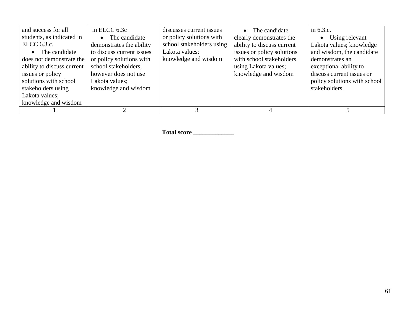| and success for all<br>students, as indicated in<br>ELCC 6.3.c.<br>• The candidate<br>does not demonstrate the<br>ability to discuss current<br>issues or policy<br>solutions with school<br>stakeholders using<br>Lakota values;<br>knowledge and wisdom | in ELCC 6.3c<br>The candidate<br>$\bullet$<br>demonstrates the ability<br>to discuss current issues<br>or policy solutions with<br>school stakeholders,<br>however does not use<br>Lakota values;<br>knowledge and wisdom | discusses current issues<br>or policy solutions with<br>school stakeholders using<br>Lakota values;<br>knowledge and wisdom | • The candidate<br>clearly demonstrates the<br>ability to discuss current<br>issues or policy solutions<br>with school stakeholders<br>using Lakota values;<br>knowledge and wisdom | in 6.3.c.<br>Using relevant<br>Lakota values; knowledge<br>and wisdom, the candidate<br>demonstrates an<br>exceptional ability to<br>discuss current issues or<br>policy solutions with school<br>stakeholders. |
|-----------------------------------------------------------------------------------------------------------------------------------------------------------------------------------------------------------------------------------------------------------|---------------------------------------------------------------------------------------------------------------------------------------------------------------------------------------------------------------------------|-----------------------------------------------------------------------------------------------------------------------------|-------------------------------------------------------------------------------------------------------------------------------------------------------------------------------------|-----------------------------------------------------------------------------------------------------------------------------------------------------------------------------------------------------------------|
|                                                                                                                                                                                                                                                           |                                                                                                                                                                                                                           |                                                                                                                             |                                                                                                                                                                                     |                                                                                                                                                                                                                 |